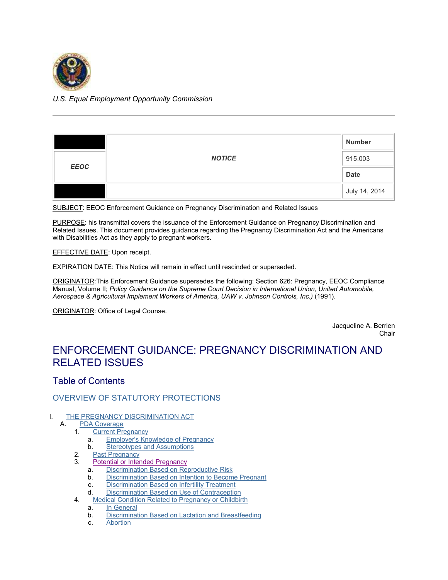<span id="page-0-1"></span>

# *U.S. Equal Employment Opportunity Commission*

|             | <b>NOTICE</b> | <b>Number</b> |
|-------------|---------------|---------------|
| <b>EEOC</b> |               | 915.003       |
|             |               | <b>Date</b>   |
|             |               | July 14, 2014 |

SUBJECT: EEOC Enforcement Guidance on Pregnancy Discrimination and Related Issues

PURPOSE: his transmittal covers the issuance of the Enforcement Guidance on Pregnancy Discrimination and Related Issues. This document provides guidance regarding the Pregnancy Discrimination Act and the Americans with Disabilities Act as they apply to pregnant workers.

### EFFECTIVE DATE: Upon receipt.

EXPIRATION DATE: This Notice will remain in effect until rescinded or superseded.

ORIGINATOR:This Enforcement Guidance supersedes the following: Section 626: Pregnancy, EEOC Compliance Manual, Volume II; *Policy Guidance on the Supreme Court Decision in International Union, United Automobile, Aerospace & Agricultural Implement Workers of America, UAW v. Johnson Controls, Inc.)* (1991).

ORIGINATOR: Office of Legal Counse.

Jacqueline A. Berrien Chair

# ENFORCEMENT GUIDANCE: PREGNANCY DISCRIMINATION AND RELATED ISSUES

# Table of Contents

## [OVERVIEW OF STATUTORY PROTECTIONS](#page-1-0)

# I. [THE PREGNANCY DISCRIMINATION ACT](#page-1-1)<br>A. PDA Coverage

# [PDA Coverage](#page-2-0)

- 1. [Current Pregnancy](#page-2-1)
	- a. [Employer's Knowledge of Pregnancy](#page-3-0)
	- b. [Stereotypes and Assumptions](#page-3-1)
- 2. [Past Pregnancy](#page-3-2)
- <span id="page-0-0"></span>3. [Potential or Intended Pregnancy](#page-0-0)
	- a. [Discrimination Based on Reproductive Risk](#page-4-0)
	- b. [Discrimination Based on Intention to Become Pregnant](#page-4-1)
	- c. [Discrimination Based on Infertility Treatment](#page-5-0)
	- d. [Discrimination Based on Use of Contraception](#page-5-1)
- 4. [Medical Condition Related to Pregnancy or Childbirth](#page-5-2)
	- a. [In General](#page-5-3)
	- b. [Discrimination Based on Lactation and Breastfeeding](#page-6-0)
	- c. [Abortion](#page-6-1)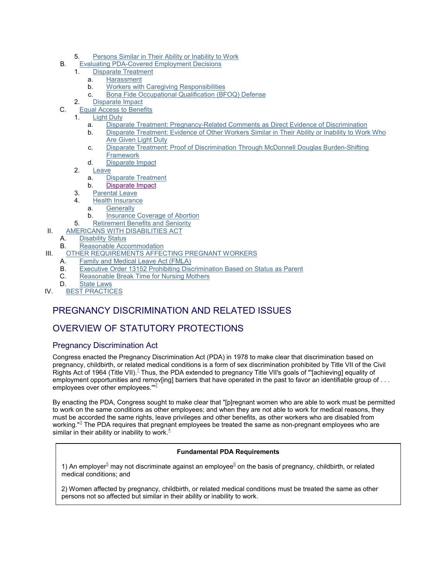- 5. [Persons Similar in Their Ability or Inability to Work](#page-6-2)
- B. [Evaluating PDA-Covered Employment Decisions](#page-7-0)
	- 1. [Disparate Treatment](#page-7-1)
		- a. [Harassment](#page-10-0)
		- b. [Workers with Caregiving Responsibilities](#page-11-0)
		- c. [Bona Fide Occupational Qualification \(BFOQ\) Defense](#page-11-1)
	- 2. [Disparate Impact](#page-11-2)
- C. [Equal Access to Benefits](#page-12-0)
	- 1. [Light Duty](#page-12-1)
		- a. [Disparate Treatment: Pregnancy-Related Comments as Direct Evidence of Discrimination](#page-12-2)
		- b. [Disparate Treatment: Evidence of Other Workers Similar in Their Ability or Inability to Work Who](#page-12-3) [Are Given Light Duty](#page-12-3)
		- c. [Disparate Treatment: Proof of Discrimination Through McDonnell Douglas Burden-Shifting](#page-13-0) **[Framework](#page-13-0)**
		- d. [Disparate Impact](#page-14-0)
	- 2. [Leave](#page-14-1)
		- a. [Disparate Treatment](#page-14-2)
		- b. [Disparate Impact](#page-0-1)
	- 3. [Parental Leave](#page-15-0)
	- 4. [Health Insurance](#page-16-0)
		- a. [Generally](#page-16-1)
		- b. [Insurance Coverage of Abortion](#page-16-2)
	- 5. [Retirement Benefits and Seniority](#page-16-3)
- II. [AMERICANS WITH DISABILITIES ACT](#page-17-0)
	- A. [Disability Status](#page-17-1)
	- B. [Reasonable Accommodation](#page-18-0)
- III. [OTHER REQUIREMENTS AFFECTING PREGNANT WORKERS](#page-20-0)
	- A. [Family and Medical Leave Act \(FMLA\)](#page-20-1)
	- B. [Executive Order 13152 Prohibiting Discrimination Based on Status as Parent](#page-20-2)
	- C. [Reasonable Break Time for Nursing Mothers](#page-21-0)
	- D. [State Laws](#page-21-1)
- IV. [BEST PRACTICES](#page-21-2)

# PREGNANCY DISCRIMINATION AND RELATED ISSUES

# <span id="page-1-0"></span>OVERVIEW OF STATUTORY PROTECTIONS

## <span id="page-1-1"></span>Pregnancy Discrimination Act

Congress enacted the Pregnancy Discrimination Act (PDA) in 1978 to make clear that discrimination based on pregnancy, childbirth, or related medical conditions is a form of sex discrimination prohibited by Title VII of the Civil Rights Act of [1](#page-25-0)964 (Title VII). $^1$  Thus, the PDA extended to pregnancy Title VII's goals of "'[achieving] equality of employment opportunities and remov[ing] barriers that have operated in the past to favor an identifiable group of . . . employees over other employees. $^{\prime\prime\prime\prime\prime}$ 

By enacting the PDA, Congress sought to make clear that "[p]regnant women who are able to work must be permitted to work on the same conditions as other employees; and when they are not able to work for medical reasons, they must be accorded the same rights, leave privileges and other benefits, as other workers who are disabled from working."<sup>3</sup> [T](#page-25-2)he PDA requires that pregnant employees be treated the same as non-pregnant employees who are similar in their ability or inability to work. $4$ 

#### **Fundamental PDA Requirements**

1) An e[m](#page-25-4)pl[o](#page-25-5)yer<sup>5</sup> may not discriminate against an employee<sup>6</sup> on the basis of pregnancy, childbirth, or related medical conditions; and

2) Women affected by pregnancy, childbirth, or related medical conditions must be treated the same as other persons not so affected but similar in their ability or inability to work.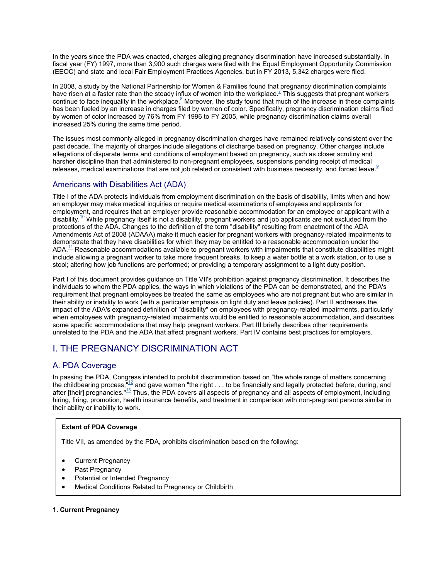In the years since the PDA was enacted, charges alleging pregnancy discrimination have increased substantially. In fiscal year (FY) 1997, more than 3,900 such charges were filed with the Equal Employment Opportunity Commission (EEOC) and state and local Fair Employment Practices Agencies, but in FY 2013, 5,342 charges were filed.

In 2008, a study by the National Partnership for Women & Families found that pregnancy discrimination complaints have risen at a faster rate than the steady influx of women into the workplace.<sup>7</sup> [T](#page-25-6)his suggests that pregnant workers continue to face inequality in the workplace.<sup>8</sup> [M](#page-25-7)oreover, the study found that much of the increase in these complaints has been fueled by an increase in charges filed by women of color. Specifically, pregnancy discrimination claims filed by women of color increased by 76% from FY 1996 to FY 2005, while pregnancy discrimination claims overall increased 25% during the same time period.

The issues most commonly alleged in pregnancy discrimination charges have remained relatively consistent over the past decade. The majority of charges include allegations of discharge based on pregnancy. Other charges include allegations of disparate terms and conditions of employment based on pregnancy, such as closer scrutiny and harsher discipline than that administered to non-pregnant employees, suspensions pending receipt of medical releases, medical examinations that are not job related or consistent with business necessity, and forced leave.<sup>[9](#page-25-8)</sup>

# Americans with Disabilities Act (ADA)

Title I of the ADA protects individuals from employment discrimination on the basis of disability, limits when and how an employer may make medical inquiries or require medical examinations of employees and applicants for employment, and requires that an employer provide reasonable accommodation for an employee or applicant with a disability.<sup>[10](#page-25-9)</sup> While pregnancy itself is not a disability, pregnant workers and job applicants are not excluded from the protections of the ADA. Changes to the definition of the term "disability" resulting from enactment of the ADA Amendments Act of 2008 (ADAAA) make it much easier for pregnant workers with pregnancy-related impairments to demonstrate that they have disabilities for which they may be entitled to a reasonable accommodation under the ADA.<sup>[11](#page-26-0)</sup> Reasonable accommodations available to pregnant workers with impairments that constitute disabilities might include allowing a pregnant worker to take more frequent breaks, to keep a water bottle at a work station, or to use a stool; altering how job functions are performed; or providing a temporary assignment to a light duty position.

Part I of this document provides guidance on Title VII's prohibition against pregnancy discrimination. It describes the individuals to whom the PDA applies, the ways in which violations of the PDA can be demonstrated, and the PDA's requirement that pregnant employees be treated the same as employees who are not pregnant but who are similar in their ability or inability to work (with a particular emphasis on light duty and leave policies). Part II addresses the impact of the ADA's expanded definition of "disability" on employees with pregnancy-related impairments, particularly when employees with pregnancy-related impairments would be entitled to reasonable accommodation, and describes some specific accommodations that may help pregnant workers. Part III briefly describes other requirements unrelated to the PDA and the ADA that affect pregnant workers. Part IV contains best practices for employers.

# I. THE PREGNANCY DISCRIMINATION ACT

# <span id="page-2-0"></span>A. PDA Coverage

In passing the PDA, Congress intended to prohibit discrimination based on "the whole range of matters concerning the childbearing process,  $^{\text{m2}}$  and gave women "the right . . . to be financially and legally protected before, during, and after [their] pregnancies."<sup>[13](#page-26-2)</sup> Thus, the PDA covers all aspects of pregnancy and all aspects of employment, including hiring, firing, promotion, health insurance benefits, and treatment in comparison with non-pregnant persons similar in their ability or inability to work.

### **Extent of PDA Coverage**

Title VII, as amended by the PDA, prohibits discrimination based on the following:

- Current Pregnancy
- Past Pregnancy
- Potential or Intended Pregnancy
- Medical Conditions Related to Pregnancy or Childbirth

### <span id="page-2-1"></span>**1. Current Pregnancy**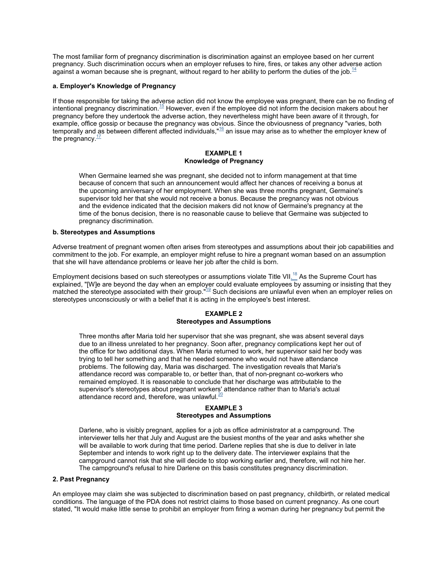The most familiar form of pregnancy discrimination is discrimination against an employee based on her current pregnancy. Such discrimination occurs when an employer refuses to hire, fires, or takes any other adverse action againsta woman because she is pregnant, without regard to her ability to perform the duties of the job.<sup>14</sup>

#### <span id="page-3-0"></span>**a. Employer's Knowledge of Pregnancy**

If those responsible for taking the adverse action did not know the employee was pregnant, there can be no finding of intentional pregnancy discrimination.[15](#page-26-4) However, even if the employee did not inform the decision makers about her pregnancy before they undertook the adverse action, they nevertheless might have been aware of it through, for example, office gossip or because the pregnancy was obvious. Since the obviousness of pregnancy "varies, both temporally and as between different affected individuals,"[16](#page-26-5) an issue may arise as to whether the employer knew of the pregnancy. $\frac{17}{1}$  $\frac{17}{1}$  $\frac{17}{1}$ 

#### **EXAMPLE 1 Knowledge of Pregnancy**

When Germaine learned she was pregnant, she decided not to inform management at that time because of concern that such an announcement would affect her chances of receiving a bonus at the upcoming anniversary of her employment. When she was three months pregnant, Germaine's supervisor told her that she would not receive a bonus. Because the pregnancy was not obvious and the evidence indicated that the decision makers did not know of Germaine's pregnancy at the time of the bonus decision, there is no reasonable cause to believe that Germaine was subjected to pregnancy discrimination.

#### <span id="page-3-1"></span>**b. Stereotypes and Assumptions**

Adverse treatment of pregnant women often arises from stereotypes and assumptions about their job capabilities and commitment to the job. For example, an employer might refuse to hire a pregnant woman based on an assumption that she will have attendance problems or leave her job after the child is born.

Employmentdecisions based on such stereotypes or assumptions violate Title VII[.](#page-26-7)<sup>18</sup> As the Supreme Court has explained, "[W]e are beyond the day when an employer could evaluate employees by assuming or insisting that they matched the stereotype associated with their group.<sup>"[19](#page-26-8)</sup> Such decisions are unlawful even when an employer relies on stereotypes unconsciously or with a belief that it is acting in the employee's best interest.

#### **EXAMPLE 2 Stereotypes and Assumptions**

Three months after Maria told her supervisor that she was pregnant, she was absent several days due to an illness unrelated to her pregnancy. Soon after, pregnancy complications kept her out of the office for two additional days. When Maria returned to work, her supervisor said her body was trying to tell her something and that he needed someone who would not have attendance problems. The following day, Maria was discharged. The investigation reveals that Maria's attendance record was comparable to, or better than, that of non-pregnant co-workers who remained employed. It is reasonable to conclude that her discharge was attributable to the supervisor's stereotypes about pregnant workers' attendance rather than to Maria's actual attendance record and, therefore, was unlawful. $\frac{20}{20}$  $\frac{20}{20}$  $\frac{20}{20}$ 

#### **EXAMPLE 3 Stereotypes and Assumptions**

Darlene, who is visibly pregnant, applies for a job as office administrator at a campground. The interviewer tells her that July and August are the busiest months of the year and asks whether she will be available to work during that time period. Darlene replies that she is due to deliver in late September and intends to work right up to the delivery date. The interviewer explains that the campground cannot risk that she will decide to stop working earlier and, therefore, will not hire her. The campground's refusal to hire Darlene on this basis constitutes pregnancy discrimination.

#### <span id="page-3-2"></span>**2. Past Pregnancy**

An employee may claim she was subjected to discrimination based on past pregnancy, childbirth, or related medical conditions. The language of the PDA does not restrict claims to those based on current pregnancy. As one court stated, "It would make little sense to prohibit an employer from firing a woman during her pregnancy but permit the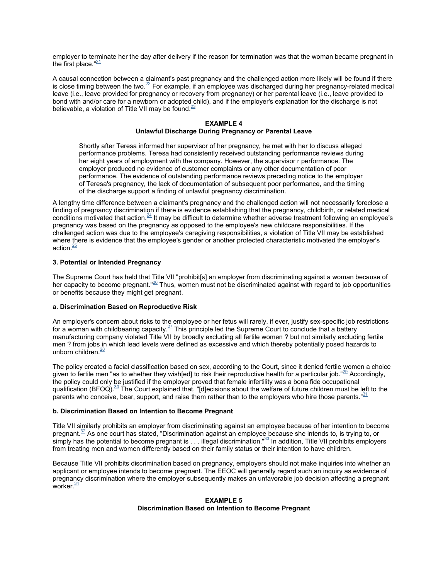employer to terminate her the day after delivery if the reason for termination was that the woman became pregnant in the first place." $21$ 

A causal connection between a claimant's past pregnancy and the challenged action more likely will be found if there isclose timing between the two.<sup>22</sup> For example, if an employee was discharged during her pregnancy-related medical leave (i.e., leave provided for pregnancy or recovery from pregnancy) or her parental leave (i.e., leave provided to bond with and/or care for a newborn or adopted child), and if the employer's explanation for the discharge is not believable, a violation of Title VII may be found. $^{23}$  $^{23}$  $^{23}$ 

#### **EXAMPLE 4 Unlawful Discharge During Pregnancy or Parental Leave**

Shortly after Teresa informed her supervisor of her pregnancy, he met with her to discuss alleged performance problems. Teresa had consistently received outstanding performance reviews during her eight years of employment with the company. However, the supervisor r performance. The employer produced no evidence of customer complaints or any other documentation of poor performance. The evidence of outstanding performance reviews preceding notice to the employer of Teresa's pregnancy, the lack of documentation of subsequent poor performance, and the timing of the discharge support a finding of unlawful pregnancy discrimination.

A lengthy time difference between a claimant's pregnancy and the challenged action will not necessarily foreclose a finding of pregnancy discrimination if there is evidence establishing that the pregnancy, childbirth, or related medical conditions motivated that action. $^{24}$  $^{24}$  $^{24}$  It may be difficult to determine whether adverse treatment following an employee's pregnancy was based on the pregnancy as opposed to the employee's new childcare responsibilities. If the challenged action was due to the employee's caregiving responsibilities, a violation of Title VII may be established where there is evidence that the employee's gender or another protected characteristic motivated the employer's action. $\frac{25}{2}$  $\frac{25}{2}$  $\frac{25}{2}$ 

#### **3. Potential or Intended Pregnancy**

The Supreme Court has held that Title VII "prohibit[s] an employer from discriminating against a woman because of her capacity to become pregnant."<sup>[26](#page-27-4)</sup> Thus, women must not be discriminated against with regard to job opportunities or benefits because they might get pregnant.

#### <span id="page-4-0"></span>**a. Discrimination Based on Reproductive Risk**

An employer's concern about risks to the employee or her fetus will rarely, if ever, justify sex-specific job restrictions for a woman with childbearing capacity. $27$  This principle led the Supreme Court to conclude that a battery manufacturing company violated Title VII by broadly excluding all fertile women ? but not similarly excluding fertile men ? from jobs in which lead levels were defined as excessive and which thereby potentially posed hazards to unborn children. $\frac{28}{3}$  $\frac{28}{3}$  $\frac{28}{3}$ 

The policy created a facial classification based on sex, according to the Court, since it denied fertile women a choice given to fertile men "as to whether they wish[ed] to risk their reproductive health for a particular job."<sup>[29](#page-27-7)</sup> Accordingly, the policy could only be justified if the employer proved that female infertility was a bona fide occupational qualification (BFOQ).<sup>[30](#page-27-8)</sup> The Court explained that, "[d]ecisions about the welfare of future children must be left to the parents who conceive, bear, support, and raise them rather than to the employers who hire those parents." $\frac{31}{1}$  $\frac{31}{1}$  $\frac{31}{1}$ 

#### <span id="page-4-1"></span>**b. Discrimination Based on Intention to Become Pregnant**

Title VII similarly prohibits an employer from discriminating against an employee because of her intention to become pregnant.<sup>[32](#page-27-10)</sup> As one court has stated, "Discrimination against an employee because she intends to, is trying to, or simply has the potential to become pregnant is  $\dots$  illegal discrimination. $"$ <sup>[33](#page-27-11)</sup> In addition, Title VII prohibits employers from treating men and women differently based on their family status or their intention to have children.

Because Title VII prohibits discrimination based on pregnancy, employers should not make inquiries into whether an applicant or employee intends to become pregnant. The EEOC will generally regard such an inquiry as evidence of pregnancy discrimination where the employer subsequently makes an unfavorable job decision affecting a pregnant worker $\frac{34}{5}$  $\frac{34}{5}$  $\frac{34}{5}$ 

#### **EXAMPLE 5 Discrimination Based on Intention to Become Pregnant**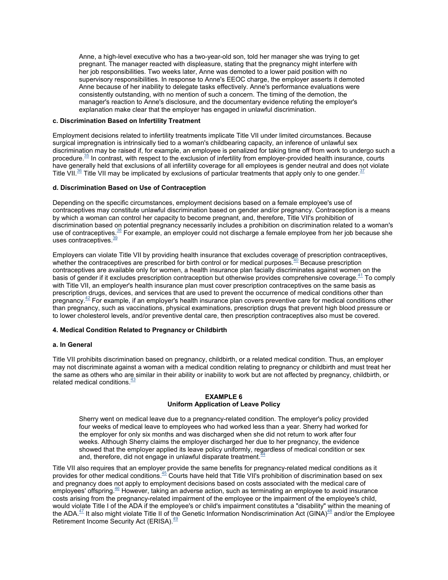Anne, a high-level executive who has a two-year-old son, told her manager she was trying to get pregnant. The manager reacted with displeasure, stating that the pregnancy might interfere with her job responsibilities. Two weeks later, Anne was demoted to a lower paid position with no supervisory responsibilities. In response to Anne's EEOC charge, the employer asserts it demoted Anne because of her inability to delegate tasks effectively. Anne's performance evaluations were consistently outstanding, with no mention of such a concern. The timing of the demotion, the manager's reaction to Anne's disclosure, and the documentary evidence refuting the employer's explanation make clear that the employer has engaged in unlawful discrimination.

#### <span id="page-5-0"></span>**c. Discrimination Based on Infertility Treatment**

Employment decisions related to infertility treatments implicate Title VII under limited circumstances. Because surgical impregnation is intrinsically tied to a woman's childbearing capacity, an inference of unlawful sex discrimination may be raised if, for example, an employee is penalized for taking time off from work to undergo such a procedure.<sup>[35](#page-28-0)</sup> In contrast, with respect to the exclusion of infertility from employer-provided health insurance, courts have generally held that exclusions of all infertility coverage for all employees is gender neutral and does not violate Title VII.<sup>[36](#page-28-1)</sup> Title VII may be implicated by exclusions of particular treatments that apply only to one gender.<sup>[37](#page-28-2)</sup>

#### <span id="page-5-1"></span>**d. Discrimination Based on Use of Contraception**

Depending on the specific circumstances, employment decisions based on a female employee's use of contraceptives may constitute unlawful discrimination based on gender and/or pregnancy. Contraception is a means by which a woman can control her capacity to become pregnant, and, therefore, Title VII's prohibition of discrimination based on potential pregnancy necessarily includes a prohibition on discrimination related to a woman's use of contraceptives.<sup>[38](#page-28-3)</sup> For example, an employer could not discharge a female employee from her job because she uses contraceptives. $\frac{39}{2}$  $\frac{39}{2}$  $\frac{39}{2}$ 

Employers can violate Title VII by providing health insurance that excludes coverage of prescription contraceptives, whether the contraceptives are prescribed for birth control or for medical purposes.<sup>[40](#page-28-5)</sup> Because prescription contraceptives are available only for women, a health insurance plan facially discriminates against women on the basis of gender if it excludes prescription contraception but otherwise provides comprehensive coverage.<sup>[41](#page-29-0)</sup> To comply with Title VII, an employer's health insurance plan must cover prescription contraceptives on the same basis as prescription drugs, devices, and services that are used to prevent the occurrence of medical conditions other than pregnancy.<sup>[42](#page-29-1)</sup> For example, if an employer's health insurance plan covers preventive care for medical conditions other than pregnancy, such as vaccinations, physical examinations, prescription drugs that prevent high blood pressure or to lower cholesterol levels, and/or preventive dental care, then prescription contraceptives also must be covered.

#### <span id="page-5-2"></span>**4. Medical Condition Related to Pregnancy or Childbirth**

#### <span id="page-5-3"></span>**a. In General**

Title VII prohibits discrimination based on pregnancy, childbirth, or a related medical condition. Thus, an employer may not discriminate against a woman with a medical condition relating to pregnancy or childbirth and must treat her the same as others who are similar in their ability or inability to work but are not affected by pregnancy, childbirth, or related medical conditions.<sup>[43](#page-29-2)</sup>

#### **EXAMPLE 6 Uniform Application of Leave Policy**

Sherry went on medical leave due to a pregnancy-related condition. The employer's policy provided four weeks of medical leave to employees who had worked less than a year. Sherry had worked for the employer for only six months and was discharged when she did not return to work after four weeks. Although Sherry claims the employer discharged her due to her pregnancy, the evidence showed that the employer applied its leave policy uniformly, regardless of medical condition or sex and, therefore, did not engage in unlawful disparate treatment.<sup>4</sup>

Title VII also requires that an employer provide the same benefits for pregnancy-related medical conditions as it provides for other medical conditions.<sup>[45](#page-29-4)</sup> Courts have held that Title VII's prohibition of discrimination based on sex and pregnancy does not apply to employment decisions based on costs associated with the medical care of employees' offspring.<sup>[46](#page-29-5)</sup> However, taking an adverse action, such as terminating an employee to avoid insurance costs arising from the pregnancy-related impairment of the employee or the impairment of the employee's child, would violate Title I of the ADA if the employee's or child's impairment constitutes a "disability" within the meaning of the ADA. $^{47}$  $^{47}$  $^{47}$  It also might violate Title II of the Genetic Information Nondiscrimination Act (GINA) $^{48}$  $^{48}$  $^{48}$  and/or the Employee Retirement Income Security Act (ERISA).<sup>[49](#page-30-0)</sup>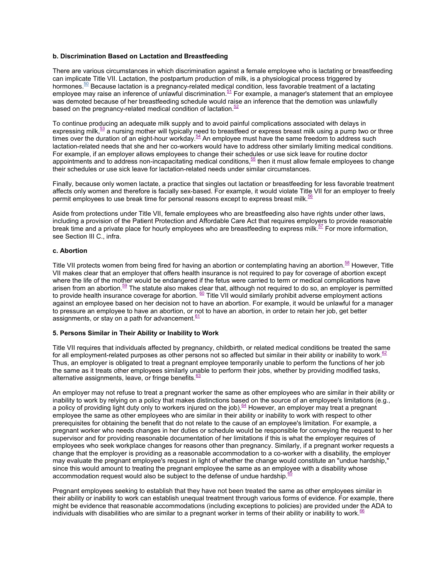#### <span id="page-6-0"></span>**b. Discrimination Based on Lactation and Breastfeeding**

There are various circumstances in which discrimination against a female employee who is lactating or breastfeeding can implicate Title VII. Lactation, the postpartum production of milk, is a physiological process triggered by hormones.<sup>[50](#page-30-1)</sup> Because lactation is a pregnancy-related medical condition, less favorable treatment of a lactating employee may raise an inference of unlawful discrimination. $51$  For example, a manager's statement that an employee was demoted because of her breastfeeding schedule would raise an inference that the demotion was unlawfully based on the pregnancy-related medical condition of lactation. $52$ 

To continue producing an adequate milk supply and to avoid painful complications associated with delays in expressing milk, $\frac{53}{2}$  $\frac{53}{2}$  $\frac{53}{2}$  a nursing mother will typically need to breastfeed or express breast milk using a pump two or three times over the duration of an eight-hour workday.  $\frac{54}{4}$  $\frac{54}{4}$  $\frac{54}{4}$  An employee must have the same freedom to address such lactation-related needs that she and her co-workers would have to address other similarly limiting medical conditions. For example, if an employer allows employees to change their schedules or use sick leave for routine doctor appointments and to address non-incapacitating medical conditions, $55$  then it must allow female employees to change their schedules or use sick leave for lactation-related needs under similar circumstances.

Finally, because only women lactate, a practice that singles out lactation or breastfeeding for less favorable treatment affects only women and therefore is facially sex-based. For example, it would violate Title VII for an employer to freely permitemployees to use break time for personal reasons except to express breast milk.<sup>56</sup>

Aside from protections under Title VII, female employees who are breastfeeding also have rights under other laws, including a provision of the Patient Protection and Affordable Care Act that requires employers to provide reasonable break time and a private place for hourly employees who are breastfeeding to express milk. $57$  For more information, see Section III C., infra.

#### <span id="page-6-1"></span>**c. Abortion**

Title VII protects women from being fired for having an abortion or contemplating having an abortion.<sup>58</sup> [H](#page-0-1)owever, Title VII makes clear that an employer that offers health insurance is not required to pay for coverage of abortion except where the life of the mother would be endangered if the fetus were carried to term or medical complications have arisen from an abortion.<sup>[59](#page-0-1)</sup> The statute also makes clear that, although not required to do so, an employer is permitted to provide health insurance coverage for abortion.  $\frac{60}{2}$  $\frac{60}{2}$  $\frac{60}{2}$  Title VII would similarly prohibit adverse employment actions against an employee based on her decision not to have an abortion. For example, it would be unlawful for a manager to pressure an employee to have an abortion, or not to have an abortion, in order to retain her job, get better assignments, or stay on a path for advancement. $61$  $61$ 

#### <span id="page-6-2"></span>**5. Persons Similar in Their Ability or Inability to Work**

Title VII requires that individuals affected by pregnancy, childbirth, or related medical conditions be treated the same for all employment-related purposes as other persons not so affected but similar in their ability or inability to work. $62$ Thus, an employer is obligated to treat a pregnant employee temporarily unable to perform the functions of her job the same as it treats other employees similarly unable to perform their jobs, whether by providing modified tasks, alternative assignments, leave, or fringe benefits. $63$ 

An employer may not refuse to treat a pregnant worker the same as other employees who are similar in their ability or inability to work by relying on a policy that makes distinctions based on the source of an employee's limitations (e.g., apolicy of providing light duty only to workers injured on the job).  $64$  However, an employer may treat a pregnant employee the same as other employees who are similar in their ability or inability to work with respect to other prerequisites for obtaining the benefit that do not relate to the cause of an employee's limitation. For example, a pregnant worker who needs changes in her duties or schedule would be responsible for conveying the request to her supervisor and for providing reasonable documentation of her limitations if this is what the employer requires of employees who seek workplace changes for reasons other than pregnancy. Similarly, if a pregnant worker requests a change that the employer is providing as a reasonable accommodation to a co-worker with a disability, the employer may evaluate the pregnant employee's request in light of whether the change would constitute an "undue hardship," since this would amount to treating the pregnant employee the same as an employee with a disability whose accommodation request would also be subject to the defense of undue hardship.<sup> $6$ </sup>

Pregnant employees seeking to establish that they have not been treated the same as other employees similar in their ability or inability to work can establish unequal treatment through various forms of evidence. For example, there might be evidence that reasonable accommodations (including exceptions to policies) are provided under the ADA to individuals with disabilities who are similar to a pregnant worker in terms of their ability or inability to work.<sup>[66](#page-0-1)</sup>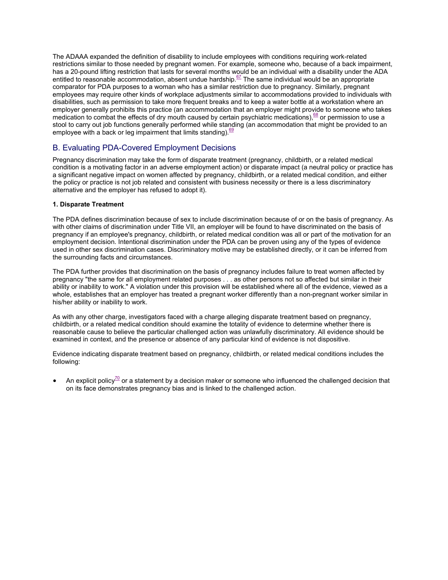The ADAAA expanded the definition of disability to include employees with conditions requiring work-related restrictions similar to those needed by pregnant women. For example, someone who, because of a back impairment, has a 20-pound lifting restriction that lasts for several months would be an individual with a disability under the ADA entitled to reasonable accommodation, absent undue hardship.<sup>[67](#page-0-1)</sup> The same individual would be an appropriate comparator for PDA purposes to a woman who has a similar restriction due to pregnancy. Similarly, pregnant employees may require other kinds of workplace adjustments similar to accommodations provided to individuals with disabilities, such as permission to take more frequent breaks and to keep a water bottle at a workstation where an employer generally prohibits this practice (an accommodation that an employer might provide to someone who takes medication to combat the effects of dry mouth caused by certain psychiatric medications),<sup>[68](#page-0-1)</sup> or permission to use a stool to carry out job functions generally performed while standing (an accommodation that might be provided to an employee with a back or leg impairment that limits standing).  $69$ 

# <span id="page-7-0"></span>B. Evaluating PDA-Covered Employment Decisions

Pregnancy discrimination may take the form of disparate treatment (pregnancy, childbirth, or a related medical condition is a motivating factor in an adverse employment action) or disparate impact (a neutral policy or practice has a significant negative impact on women affected by pregnancy, childbirth, or a related medical condition, and either the policy or practice is not job related and consistent with business necessity or there is a less discriminatory alternative and the employer has refused to adopt it).

#### <span id="page-7-1"></span>**1. Disparate Treatment**

The PDA defines discrimination because of sex to include discrimination because of or on the basis of pregnancy. As with other claims of discrimination under Title VII, an employer will be found to have discriminated on the basis of pregnancy if an employee's pregnancy, childbirth, or related medical condition was all or part of the motivation for an employment decision. Intentional discrimination under the PDA can be proven using any of the types of evidence used in other sex discrimination cases. Discriminatory motive may be established directly, or it can be inferred from the surrounding facts and circumstances.

The PDA further provides that discrimination on the basis of pregnancy includes failure to treat women affected by pregnancy "the same for all employment related purposes . . . as other persons not so affected but similar in their ability or inability to work." A violation under this provision will be established where all of the evidence, viewed as a whole, establishes that an employer has treated a pregnant worker differently than a non-pregnant worker similar in his/her ability or inability to work.

As with any other charge, investigators faced with a charge alleging disparate treatment based on pregnancy, childbirth, or a related medical condition should examine the totality of evidence to determine whether there is reasonable cause to believe the particular challenged action was unlawfully discriminatory. All evidence should be examined in context, and the presence or absence of any particular kind of evidence is not dispositive.

Evidence indicating disparate treatment based on pregnancy, childbirth, or related medical conditions includes the following:

An explicit policy<sup>[70](#page-0-1)</sup> or a statement by a decision maker or someone who influenced the challenged decision that on its face demonstrates pregnancy bias and is linked to the challenged action.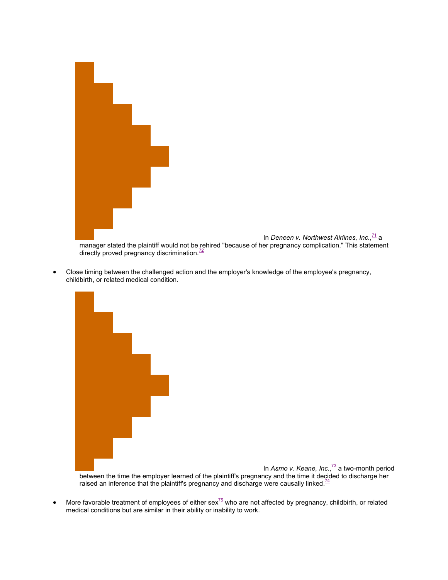

 Close timing between the challenged action and the employer's knowledge of the employee's pregnancy, childbirth, or related medical condition.

In *Asmo v. Keane, Inc.*, [73](#page-0-1) a two-month period between the time the employer learned of the plaintiff's pregnancy and the time it decided to discharge her raised an inference that the plaintiff's pregnancy and discharge were causally linked. $74$ 

 $\bullet$ More favorable treatment of employees of either sex<sup>75</sup> who are not affected by pregnancy, childbirth, or related medical conditions but are similar in their ability or inability to work.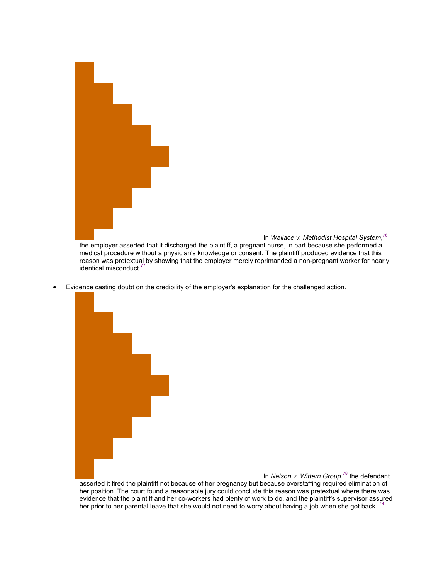

In *Wallace v. Methodist Hospital System*, [76](#page-0-1) the employer asserted that it discharged the plaintiff, a pregnant nurse, in part because she performed a medical procedure without a physician's knowledge or consent. The plaintiff produced evidence that this reason was pretextual by showing that the employer merely reprimanded a non-pregnant worker for nearly identical misconduct  $\frac{77}{6}$  $\frac{77}{6}$  $\frac{77}{6}$ 

Evidence casting doubt on the credibility of the employer's explanation for the challenged action.

In *Nelson v. Wittern Group*,<sup>[78](#page-0-1)</sup> the defendant asserted it fired the plaintiff not because of her pregnancy but because overstaffing required elimination of her position. The court found a reasonable jury could conclude this reason was pretextual where there was evidence that the plaintiff and her co-workers had plenty of work to do, and the plaintiff's supervisor assured her prior to her parental leave that she would not need to worry about having a job when she got back.  $^{79}$  $^{79}$  $^{79}$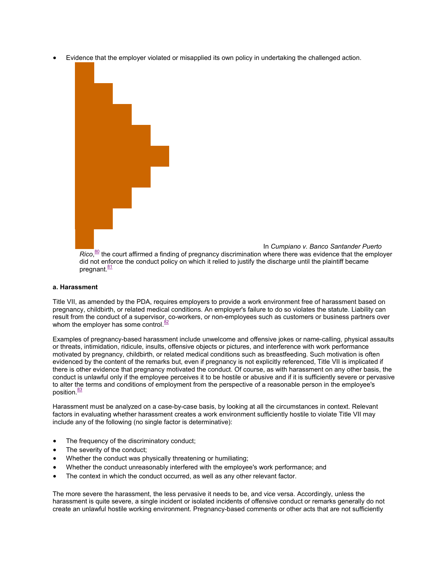Evidence that the employer violated or misapplied its own policy in undertaking the challenged action.



In *Cumpiano v. Banco Santander Puerto*

Rico,<sup>[80](#page-0-1)</sup> the court affirmed a finding of pregnancy discrimination where there was evidence that the employer did not enforce the conduct policy on which it relied to justify the discharge until the plaintiff became pregnant.<sup>[81](#page-0-1)</sup>

#### <span id="page-10-0"></span>**a. Harassment**

Title VII, as amended by the PDA, requires employers to provide a work environment free of harassment based on pregnancy, childbirth, or related medical conditions. An employer's failure to do so violates the statute. Liability can result from the conduct of a supervisor, co-workers, or non-employees such as customers or business partners over whom the employer has some control. $\frac{32}{2}$ 

Examples of pregnancy-based harassment include unwelcome and offensive jokes or name-calling, physical assaults or threats, intimidation, ridicule, insults, offensive objects or pictures, and interference with work performance motivated by pregnancy, childbirth, or related medical conditions such as breastfeeding. Such motivation is often evidenced by the content of the remarks but, even if pregnancy is not explicitly referenced, Title VII is implicated if there is other evidence that pregnancy motivated the conduct. Of course, as with harassment on any other basis, the conduct is unlawful only if the employee perceives it to be hostile or abusive and if it is sufficiently severe or pervasive to alter the terms and conditions of employment from the perspective of a reasonable person in the employee's position.<sup>[83](#page-0-1)</sup>

Harassment must be analyzed on a case-by-case basis, by looking at all the circumstances in context. Relevant factors in evaluating whether harassment creates a work environment sufficiently hostile to violate Title VII may include any of the following (no single factor is determinative):

- The frequency of the discriminatory conduct;
- The severity of the conduct;
- Whether the conduct was physically threatening or humiliating;
- Whether the conduct unreasonably interfered with the employee's work performance; and
- The context in which the conduct occurred, as well as any other relevant factor.

The more severe the harassment, the less pervasive it needs to be, and vice versa. Accordingly, unless the harassment is quite severe, a single incident or isolated incidents of offensive conduct or remarks generally do not create an unlawful hostile working environment. Pregnancy-based comments or other acts that are not sufficiently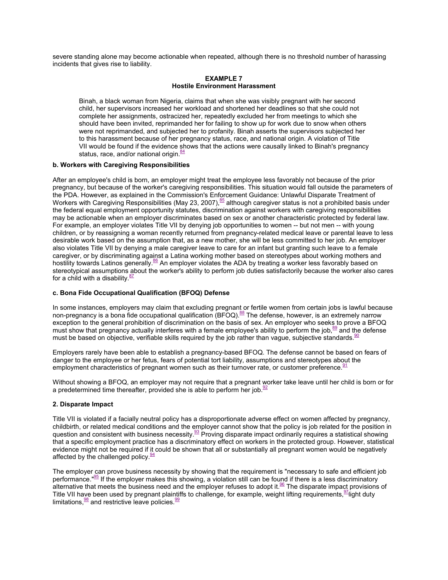severe standing alone may become actionable when repeated, although there is no threshold number of harassing incidents that gives rise to liability.

#### **EXAMPLE 7 Hostile Environment Harassment**

Binah, a black woman from Nigeria, claims that when she was visibly pregnant with her second child, her supervisors increased her workload and shortened her deadlines so that she could not complete her assignments, ostracized her, repeatedly excluded her from meetings to which she should have been invited, reprimanded her for failing to show up for work due to snow when others were not reprimanded, and subjected her to profanity. Binah asserts the supervisors subjected her to this harassment because of her pregnancy status, race, and national origin. A violation of Title VII would be found if the evidence shows that the actions were causally linked to Binah's pregnancy status, race, and/or national origin. $\frac{84}{3}$  $\frac{84}{3}$  $\frac{84}{3}$ 

#### <span id="page-11-0"></span>**b. Workers with Caregiving Responsibilities**

After an employee's child is born, an employer might treat the employee less favorably not because of the prior pregnancy, but because of the worker's caregiving responsibilities. This situation would fall outside the parameters of the PDA. However, as explained in the Commission's Enforcement Guidance: Unlawful Disparate Treatment of Workers with Caregiving Responsibilities (May 23, 2007),  $85$  although caregiver status is not a prohibited basis under the federal equal employment opportunity statutes, discrimination against workers with caregiving responsibilities may be actionable when an employer discriminates based on sex or another characteristic protected by federal law. For example, an employer violates Title VII by denying job opportunities to women -- but not men -- with young children, or by reassigning a woman recently returned from pregnancy-related medical leave or parental leave to less desirable work based on the assumption that, as a new mother, she will be less committed to her job. An employer also violates Title VII by denying a male caregiver leave to care for an infant but granting such leave to a female caregiver, or by discriminating against a Latina working mother based on stereotypes about working mothers and hostility towards Latinos generally.<sup>[86](#page-0-1)</sup> An employer violates the ADA by treating a worker less favorably based on stereotypical assumptions about the worker's ability to perform job duties satisfactorily because the worker also cares for a child with a disability. $87$ 

#### <span id="page-11-1"></span>**c. Bona Fide Occupational Qualification (BFOQ) Defense**

In some instances, employers may claim that excluding pregnant or fertile women from certain jobs is lawful because non-pregnancy is a bona fide occupational qualification  $(BFOQ)$ .<sup>[8](#page-0-1)8</sup> The defense, however, is an extremely narrow exception to the general prohibition of discrimination on the basis of sex. An employer who seeks to prove a BFOQ mustshow that pregnancy actually interferes with a female employee's ability to perform the job, $89$  and the defense must be based on objective, verifiable skills required by the job rather than vague, subjective standards.<sup>9</sup>

Employers rarely have been able to establish a pregnancy-based BFOQ. The defense cannot be based on fears of danger to the employee or her fetus, fears of potential tort liability, assumptions and stereotypes about the employment characteristics of pregnant women such as their turnover rate, or customer preference.<sup>[91](#page-0-1)</sup>

Without showing a BFOQ, an employer may not require that a pregnant worker take leave until her child is born or for apredetermined time thereafter, provided she is able to perform her job.<sup>92</sup>

#### <span id="page-11-2"></span>**2. Disparate Impact**

Title VII is violated if a facially neutral policy has a disproportionate adverse effect on women affected by pregnancy, childbirth, or related medical conditions and the employer cannot show that the policy is job related for the position in question and consistent with business necessity.<sup>[93](#page-0-1)</sup> Proving disparate impact ordinarily requires a statistical showing that a specific employment practice has a discriminatory effect on workers in the protected group. However, statistical evidence might not be required if it could be shown that all or substantially all pregnant women would be negatively affected by the challenged policy. $\frac{94}{94}$  $\frac{94}{94}$  $\frac{94}{94}$ 

The employer can prove business necessity by showing that the requirement is "necessary to safe and efficient job performance."<sup>[95](#page-0-1)</sup> If the employer makes this showing, a violation still can be found if there is a less discriminatory alternativethat meets the business need and the employer refuses to adopt it. $96$  The disparate impact provisions of Title VII have been used by pregnant plaintiffs to challenge, for example, weight lifting requirements, <sup>97</sup>[lig](#page-0-1)ht duty limitations,  $\frac{98}{9}$  $\frac{98}{9}$  $\frac{98}{9}$  and restrictive leave policies.  $\frac{99}{9}$  $\frac{99}{9}$  $\frac{99}{9}$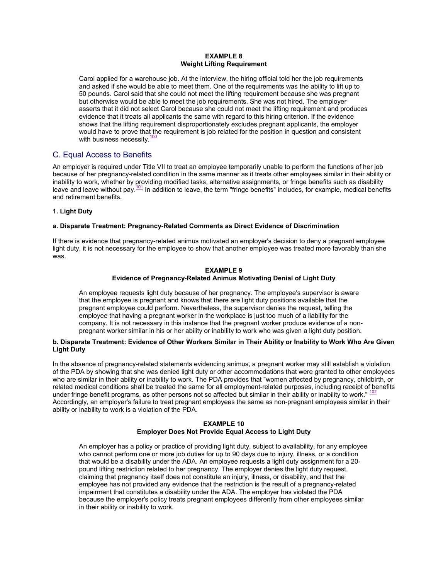#### **EXAMPLE 8 Weight Lifting Requirement**

Carol applied for a warehouse job. At the interview, the hiring official told her the job requirements and asked if she would be able to meet them. One of the requirements was the ability to lift up to 50 pounds. Carol said that she could not meet the lifting requirement because she was pregnant but otherwise would be able to meet the job requirements. She was not hired. The employer asserts that it did not select Carol because she could not meet the lifting requirement and produces evidence that it treats all applicants the same with regard to this hiring criterion. If the evidence shows that the lifting requirement disproportionately excludes pregnant applicants, the employer would have to prove that the requirement is job related for the position in question and consistent with business necessity. $\frac{100}{100}$  $\frac{100}{100}$  $\frac{100}{100}$ 

### <span id="page-12-0"></span>C. Equal Access to Benefits

An employer is required under Title VII to treat an employee temporarily unable to perform the functions of her job because of her pregnancy-related condition in the same manner as it treats other employees similar in their ability or inability to work, whether by providing modified tasks, alternative assignments, or fringe benefits such as disability leave and leave without pay.<sup>[101](#page-0-1)</sup> In addition to leave, the term "fringe benefits" includes, for example, medical benefits and retirement benefits.

#### <span id="page-12-1"></span>**1. Light Duty**

#### <span id="page-12-2"></span>**a. Disparate Treatment: Pregnancy-Related Comments as Direct Evidence of Discrimination**

If there is evidence that pregnancy-related animus motivated an employer's decision to deny a pregnant employee light duty, it is not necessary for the employee to show that another employee was treated more favorably than she was.

#### **EXAMPLE 9 Evidence of Pregnancy-Related Animus Motivating Denial of Light Duty**

An employee requests light duty because of her pregnancy. The employee's supervisor is aware that the employee is pregnant and knows that there are light duty positions available that the pregnant employee could perform. Nevertheless, the supervisor denies the request, telling the employee that having a pregnant worker in the workplace is just too much of a liability for the company. It is not necessary in this instance that the pregnant worker produce evidence of a nonpregnant worker similar in his or her ability or inability to work who was given a light duty position.

#### <span id="page-12-3"></span>**b. Disparate Treatment: Evidence of Other Workers Similar in Their Ability or Inability to Work Who Are Given Light Duty**

In the absence of pregnancy-related statements evidencing animus, a pregnant worker may still establish a violation of the PDA by showing that she was denied light duty or other accommodations that were granted to other employees who are similar in their ability or inability to work. The PDA provides that "women affected by pregnancy, childbirth, or related medical conditions shall be treated the same for all employment-related purposes, including receipt of benefits under fringe benefit programs, as other persons not so affected but similar in their ability or inability to work." $\cdot$ Accordingly, an employer's failure to treat pregnant employees the same as non-pregnant employees similar in their ability or inability to work is a violation of the PDA.

#### **EXAMPLE 10 Employer Does Not Provide Equal Access to Light Duty**

An employer has a policy or practice of providing light duty, subject to availability, for any employee who cannot perform one or more job duties for up to 90 days due to injury, illness, or a condition that would be a disability under the ADA. An employee requests a light duty assignment for a 20 pound lifting restriction related to her pregnancy. The employer denies the light duty request, claiming that pregnancy itself does not constitute an injury, illness, or disability, and that the employee has not provided any evidence that the restriction is the result of a pregnancy-related impairment that constitutes a disability under the ADA. The employer has violated the PDA because the employer's policy treats pregnant employees differently from other employees similar in their ability or inability to work.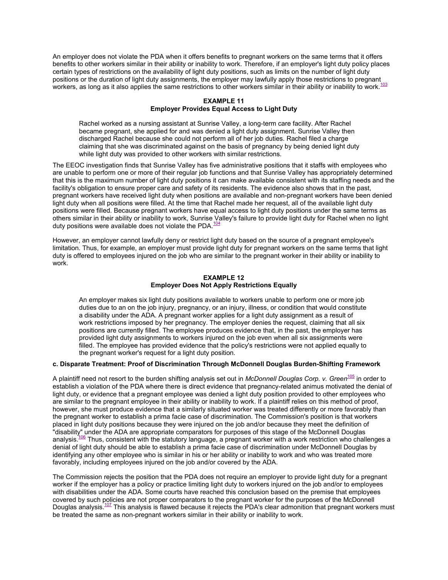An employer does not violate the PDA when it offers benefits to pregnant workers on the same terms that it offers benefits to other workers similar in their ability or inability to work. Therefore, if an employer's light duty policy places certain types of restrictions on the availability of light duty positions, such as limits on the number of light duty positions or the duration of light duty assignments, the employer may lawfully apply those restrictions to pregnant workers, as long as it also applies the same restrictions to other workers similar in their ability or inability to work. $^{103}$  $^{103}$  $^{103}$ 

#### **EXAMPLE 11 Employer Provides Equal Access to Light Duty**

Rachel worked as a nursing assistant at Sunrise Valley, a long-term care facility. After Rachel became pregnant, she applied for and was denied a light duty assignment. Sunrise Valley then discharged Rachel because she could not perform all of her job duties. Rachel filed a charge claiming that she was discriminated against on the basis of pregnancy by being denied light duty while light duty was provided to other workers with similar restrictions.

The EEOC investigation finds that Sunrise Valley has five administrative positions that it staffs with employees who are unable to perform one or more of their regular job functions and that Sunrise Valley has appropriately determined that this is the maximum number of light duty positions it can make available consistent with its staffing needs and the facility's obligation to ensure proper care and safety of its residents. The evidence also shows that in the past, pregnant workers have received light duty when positions are available and non-pregnant workers have been denied light duty when all positions were filled. At the time that Rachel made her request, all of the available light duty positions were filled. Because pregnant workers have equal access to light duty positions under the same terms as others similar in their ability or inability to work, Sunrise Valley's failure to provide light duty for Rachel when no light duty positions were available does not violate the PDA. $104$ 

However, an employer cannot lawfully deny or restrict light duty based on the source of a pregnant employee's limitation. Thus, for example, an employer must provide light duty for pregnant workers on the same terms that light duty is offered to employees injured on the job who are similar to the pregnant worker in their ability or inability to work.

#### **EXAMPLE 12 Employer Does Not Apply Restrictions Equally**

An employer makes six light duty positions available to workers unable to perform one or more job duties due to an on the job injury, pregnancy, or an injury, illness, or condition that would constitute a disability under the ADA. A pregnant worker applies for a light duty assignment as a result of work restrictions imposed by her pregnancy. The employer denies the request, claiming that all six positions are currently filled. The employee produces evidence that, in the past, the employer has provided light duty assignments to workers injured on the job even when all six assignments were filled. The employee has provided evidence that the policy's restrictions were not applied equally to the pregnant worker's request for a light duty position.

#### <span id="page-13-0"></span>**c. Disparate Treatment: Proof of Discrimination Through McDonnell Douglas Burden-Shifting Framework**

A plaintiff need not resort to the burden shifting analysis set out in *McDonnell Douglas Corp. v. Green*<sup>105</sup> in order to establish a violation of the PDA where there is direct evidence that pregnancy-related animus motivat[ed t](#page-0-1)he denial of light duty, or evidence that a pregnant employee was denied a light duty position provided to other employees who are similar to the pregnant employee in their ability or inability to work. If a plaintiff relies on this method of proof, however, she must produce evidence that a similarly situated worker was treated differently or more favorably than the pregnant worker to establish a prima facie case of discrimination. The Commission's position is that workers placed in light duty positions because they were injured on the job and/or because they meet the definition of "disability" under the ADA are appropriate comparators for purposes of this stage of the McDonnell Douglas analysis.<sup>[106](#page-0-1)</sup> Thus, consistent with the statutory language, a pregnant worker with a work restriction who challenges a denial of light duty should be able to establish a prima facie case of discrimination under McDonnell Douglas by identifying any other employee who is similar in his or her ability or inability to work and who was treated more favorably, including employees injured on the job and/or covered by the ADA.

The Commission rejects the position that the PDA does not require an employer to provide light duty for a pregnant worker if the employer has a policy or practice limiting light duty to workers injured on the job and/or to employees with disabilities under the ADA. Some courts have reached this conclusion based on the premise that employees covered by such policies are not proper comparators to the pregnant worker for the purposes of the McDonnell Douglas analysis.<sup>[107](#page-0-1)</sup> This analysis is flawed because it rejects the PDA's clear admonition that pregnant workers must be treated the same as non-pregnant workers similar in their ability or inability to work.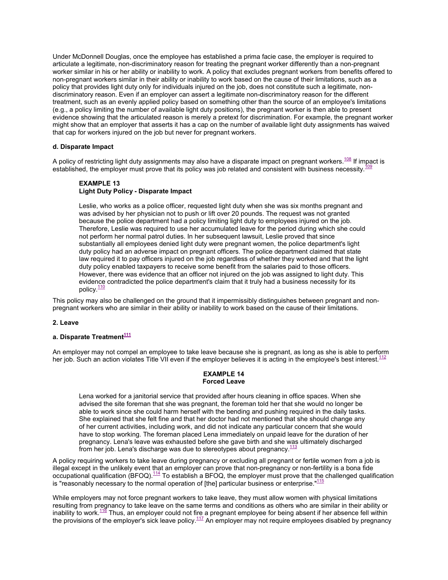Under McDonnell Douglas, once the employee has established a prima facie case, the employer is required to articulate a legitimate, non-discriminatory reason for treating the pregnant worker differently than a non-pregnant worker similar in his or her ability or inability to work. A policy that excludes pregnant workers from benefits offered to non-pregnant workers similar in their ability or inability to work based on the cause of their limitations, such as a policy that provides light duty only for individuals injured on the job, does not constitute such a legitimate, nondiscriminatory reason. Even if an employer can assert a legitimate non-discriminatory reason for the different treatment, such as an evenly applied policy based on something other than the source of an employee's limitations (e.g., a policy limiting the number of available light duty positions), the pregnant worker is then able to present evidence showing that the articulated reason is merely a pretext for discrimination. For example, the pregnant worker might show that an employer that asserts it has a cap on the number of available light duty assignments has waived that cap for workers injured on the job but never for pregnant workers.

#### <span id="page-14-0"></span>**d. Disparate Impact**

A policy of restricting light duty assignments may also have a disparate impact on pregnant workers.<sup>108</sup> If impact is established,the employer must prove that its policy was job related and consistent with business ne[cess](#page-0-1)ity.<sup>[109](#page-0-1)</sup>

#### **EXAMPLE 13 Light Duty Policy - Disparate Impact**

Leslie, who works as a police officer, requested light duty when she was six months pregnant and was advised by her physician not to push or lift over 20 pounds. The request was not granted because the police department had a policy limiting light duty to employees injured on the job. Therefore, Leslie was required to use her accumulated leave for the period during which she could not perform her normal patrol duties. In her subsequent lawsuit, Leslie proved that since substantially all employees denied light duty were pregnant women, the police department's light duty policy had an adverse impact on pregnant officers. The police department claimed that state law required it to pay officers injured on the job regardless of whether they worked and that the light duty policy enabled taxpayers to receive some benefit from the salaries paid to those officers. However, there was evidence that an officer not injured on the job was assigned to light duty. This evidence contradicted the police department's claim that it truly had a business necessity for its policy.<sup>[110](#page-0-1)</sup>

This policy may also be challenged on the ground that it impermissibly distinguishes between pregnant and nonpregnant workers who are similar in their ability or inability to work based on the cause of their limitations.

#### <span id="page-14-1"></span>**2. Leave**

### <span id="page-14-2"></span>**a. Disparate Treatment<sup>111</sup>**

An employer may notco[mpe](#page-0-1)l an employee to take leave because she is pregnant, as long as she is able to perform her job. Such an action violates Title VII even if the employer believes it is acting in the employee's best interest. $112$ 

#### **EXAMPLE 14 Forced Leave**

Lena worked for a janitorial service that provided after hours cleaning in office spaces. When she advised the site foreman that she was pregnant, the foreman told her that she would no longer be able to work since she could harm herself with the bending and pushing required in the daily tasks. She explained that she felt fine and that her doctor had not mentioned that she should change any of her current activities, including work, and did not indicate any particular concern that she would have to stop working. The foreman placed Lena immediately on unpaid leave for the duration of her pregnancy. Lena's leave was exhausted before she gave birth and she was ultimately discharged from her job. Lena's discharge was due to stereotypes about pregnancy. $1$ 

A policy requiring workers to take leave during pregnancy or excluding all pregnant or fertile women from a job is illegal except in the unlikely event that an employer can prove that non-pregnancy or non-fertility is a bona fide occupational qualification (BFOQ).<sup>[114](#page-0-1)</sup> To establish a BFOQ, the employer must prove that the challenged qualification is "reasonably necessary to the normal operation of [the] particular business or enterprise." $1/15$ 

While employers may not force pregnant workers to take leave, they must allow women with physical limitations resulting from pregnancy to take leave on the same terms and conditions as others who are similar in their ability or inability to work.<sup>118</sup> Thus, an employer could not fire a pregnant employee for being absent if her absence fell within the provisions of the employer's sick leave policy.<sup>[117](#page-0-1)</sup> An employer may not require employees disabled by pregnancy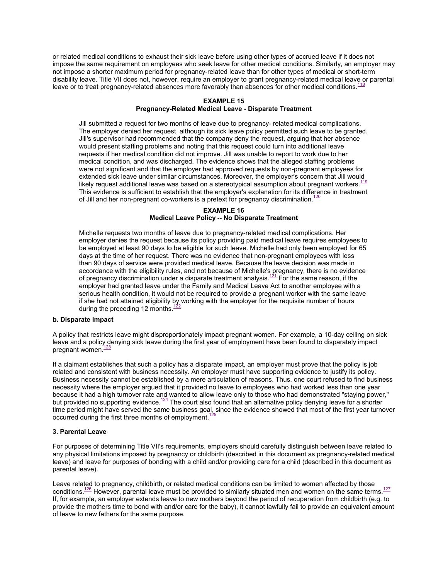or related medical conditions to exhaust their sick leave before using other types of accrued leave if it does not impose the same requirement on employees who seek leave for other medical conditions. Similarly, an employer may not impose a shorter maximum period for pregnancy-related leave than for other types of medical or short-term disability leave. Title VII does not, however, require an employer to grant pregnancy-related medical leave or parental leave or to treat pregnancy-related absences more favorably than absences for other medical conditions.<sup>1</sup>

#### **EXAMPLE 15**

#### **Pregnancy-Related Medical Leave - Disparate Treatment**

Jill submitted a request for two months of leave due to pregnancy- related medical complications. The employer denied her request, although its sick leave policy permitted such leave to be granted. Jill's supervisor had recommended that the company deny the request, arguing that her absence would present staffing problems and noting that this request could turn into additional leave requests if her medical condition did not improve. Jill was unable to report to work due to her medical condition, and was discharged. The evidence shows that the alleged staffing problems were not significant and that the employer had approved requests by non-pregnant employees for extended sick leave under similar circumstances. Moreover, the employer's concern that Jill would likely request additional leave was based on a stereotypical assumption about pregnant workers.  $\frac{119}{1}$  $\frac{119}{1}$  $\frac{119}{1}$ This evidence is sufficient to establish that the employer's explanation for its difference in treatment of Jill and her non-pregnant co-workers is a pretext for pregnancy discrimination.<sup>[120](#page-0-1)</sup>

#### **EXAMPLE 16 Medical Leave Policy -- No Disparate Treatment**

Michelle requests two months of leave due to pregnancy-related medical complications. Her employer denies the request because its policy providing paid medical leave requires employees to be employed at least 90 days to be eligible for such leave. Michelle had only been employed for 65 days at the time of her request. There was no evidence that non-pregnant employees with less than 90 days of service were provided medical leave. Because the leave decision was made in accordance with the eligibility rules, and not because of Michelle's pregnancy, there is no evidence of pregnancy discrimination under a disparate treatment analysis.<sup>[121](#page-0-1)</sup> For the same reason, if the employer had granted leave under the Family and Medical Leave Act to another employee with a serious health condition, it would not be required to provide a pregnant worker with the same leave if she had not attained eligibility by working with the employer for the requisite number of hours during the preceding 12 months. $<sup>1</sup>$ </sup>

#### **b. Disparate Impact**

A policy that restricts leave might disproportionately impact pregnant women. For example, a 10-day ceiling on sick leave and a policy denying sick leave during the first year of employment have been found to disparately impact pregnant women.<sup>[123](#page-0-1)</sup>

If a claimant establishes that such a policy has a disparate impact, an employer must prove that the policy is job related and consistent with business necessity. An employer must have supporting evidence to justify its policy. Business necessity cannot be established by a mere articulation of reasons. Thus, one court refused to find business necessity where the employer argued that it provided no leave to employees who had worked less than one year because it had a high turnover rate and wanted to allow leave only to those who had demonstrated "staying power," but provided no supporting evidence.[124](#page-0-1) The court also found that an alternative policy denying leave for a shorter time period might have served the same business goal, since the evidence showed that most of the first year turnover occurred during the first three months of employment. $125$ 

#### <span id="page-15-0"></span>**3. Parental Leave**

For purposes of determining Title VII's requirements, employers should carefully distinguish between leave related to any physical limitations imposed by pregnancy or childbirth (described in this document as pregnancy-related medical leave) and leave for purposes of bonding with a child and/or providing care for a child (described in this document as parental leave).

Leave related to pregnancy, childbirth, or related medical conditions can be limited to women affected by those conditions.<sup>[126](#page-0-1)</sup> However, parental leave must be provided to similarly situated men and women on the same terms.<sup>[127](#page-0-1)</sup> If, for example, an employer extends leave to new mothers beyond the period of recuperation from childbirth (e.g. to provide the mothers time to bond with and/or care for the baby), it cannot lawfully fail to provide an equivalent amount of leave to new fathers for the same purpose.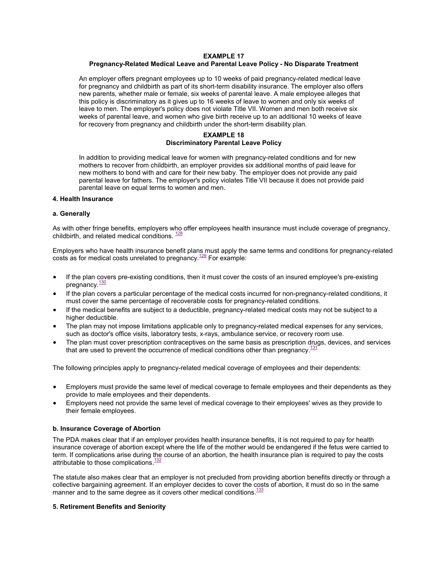#### **EXAMPLE 17**

#### **Pregnancy-Related Medical Leave and Parental Leave Policy - No Disparate Treatment**

An employer offers pregnant employees up to 10 weeks of paid pregnancy-related medical leave for pregnancy and childbirth as part of its short-term disability insurance. The employer also offers new parents, whether male or female, six weeks of parental leave. A male employee alleges that this policy is discriminatory as it gives up to 16 weeks of leave to women and only six weeks of leave to men. The employer's policy does not violate Title VII. Women and men both receive six weeks of parental leave, and women who give birth receive up to an additional 10 weeks of leave for recovery from pregnancy and childbirth under the short-term disability plan.

#### **EXAMPLE 18 Discriminatory Parental Leave Policy**

In addition to providing medical leave for women with pregnancy-related conditions and for new mothers to recover from childbirth, an employer provides six additional months of paid leave for new mothers to bond with and care for their new baby. The employer does not provide any paid parental leave for fathers. The employer's policy violates Title VII because it does not provide paid parental leave on equal terms to women and men.

#### <span id="page-16-0"></span>**4. Health Insurance**

#### <span id="page-16-1"></span>**a. Generally**

As with other fringe benefits, employers who offer employees health insurance must include coverage of pregnancy, childbirth, and related medical conditions.  $\frac{128}{128}$  $\frac{128}{128}$  $\frac{128}{128}$ 

Employers who have health insurance benefit plans must apply the same terms and conditions for pregnancy-related costs as for medical costs unrelated to pregnancy.<sup>[129](#page-0-1)</sup> For example:

- If the plan covers pre-existing conditions, then it must cover the costs of an insured employee's pre-existing pregnancy.<sup>[130](#page-0-1)</sup>
- If the plan covers a particular percentage of the medical costs incurred for non-pregnancy-related conditions, it must cover the same percentage of recoverable costs for pregnancy-related conditions.
- If the medical benefits are subject to a deductible, pregnancy-related medical costs may not be subject to a higher deductible.
- The plan may not impose limitations applicable only to pregnancy-related medical expenses for any services, such as doctor's office visits, laboratory tests, x-rays, ambulance service, or recovery room use.
- The plan must cover prescription contraceptives on the same basis as prescription drugs, devices, and services that are used to prevent the occurrence of medical conditions other than pregnancy.<sup>[131](#page-0-1)</sup>

The following principles apply to pregnancy-related medical coverage of employees and their dependents:

- Employers must provide the same level of medical coverage to female employees and their dependents as they provide to male employees and their dependents.
- Employers need not provide the same level of medical coverage to their employees' wives as they provide to their female employees.

#### <span id="page-16-2"></span>**b. Insurance Coverage of Abortion**

The PDA makes clear that if an employer provides health insurance benefits, it is not required to pay for health insurance coverage of abortion except where the life of the mother would be endangered if the fetus were carried to term. If complications arise during the course of an abortion, the health insurance plan is required to pay the costs attributable to those complications.<sup>[132](#page-0-1)</sup>

The statute also makes clear that an employer is not precluded from providing abortion benefits directly or through a collective bargaining agreement. If an employer decides to cover the costs of abortion, it must do so in the same manner and to the same degree as it covers other medical conditions. $133$ 

#### <span id="page-16-3"></span>**5. Retirement Benefits and Seniority**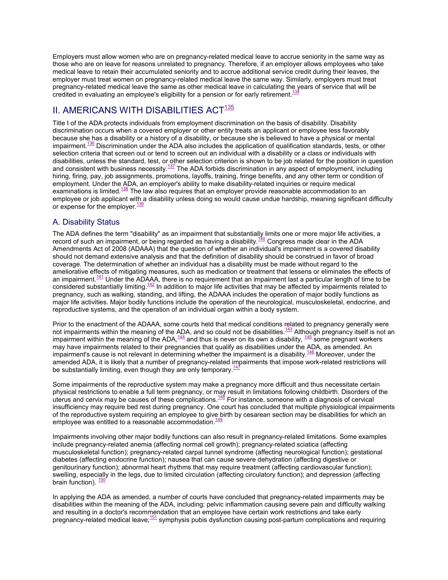Employers must allow women who are on pregnancy-related medical leave to accrue seniority in the same way as those who are on leave for reasons unrelated to pregnancy. Therefore, if an employer allows employees who take medical leave to retain their accumulated seniority and to accrue additional service credit during their leaves, the employer must treat women on pregnancy-related medical leave the same way. Similarly, employers must treat pregnancy-related medical leave the same as other medical leave in calculating the years of service that will be credited in evaluating an employee's eligibility for a pension or for early retirement.<sup>[134](#page-0-1)</sup>

# <span id="page-17-0"></span>II.AMERICANS WITH DISABILITIES  $ACT^{135}$

Title I of the ADA protects individuals from employment discrimination on the basis of disability. Disability discrimination occurs when a covered employer or other entity treats an applicant or employee less favorably because she has a disability or a history of a disability, or because she is believed to have a physical or mental impairment.<sup>[136](#page-0-1)</sup> Discrimination under the ADA also includes the application of qualification standards, tests, or other selection criteria that screen out or tend to screen out an individual with a disability or a class or individuals with disabilities, unless the standard, test, or other selection criterion is shown to be job related for the position in question and consistent with business necessity.<sup>[137](#page-0-1)</sup> The ADA forbids discrimination in any aspect of employment, including hiring, firing, pay, job assignments, promotions, layoffs, training, fringe benefits, and any other term or condition of employment. Under the ADA, an employer's ability to make disability-related inquiries or require medical examinations is limited.<sup>[138](#page-0-1)</sup> The law also requires that an employer provide reasonable accommodation to an employee or job applicant with a disability unless doing so would cause undue hardship, meaning significant difficulty or expense for the employer. $\frac{139}{139}$  $\frac{139}{139}$  $\frac{139}{139}$ 

# <span id="page-17-1"></span>A. Disability Status

The ADA defines the term "disability" as an impairment that substantially limits one or more major life activities, a record of such an impairment, or being regarded as having a disability.<sup>[140](#page-0-1)</sup> Congress made clear in the ADA Amendments Act of 2008 (ADAAA) that the question of whether an individual's impairment is a covered disability should not demand extensive analysis and that the definition of disability should be construed in favor of broad coverage. The determination of whether an individual has a disability must be made without regard to the ameliorative effects of mitigating measures, such as medication or treatment that lessens or eliminates the effects of an impairment.<sup>[141](#page-0-1)</sup> Under the ADAAA, there is no requirement that an impairment last a particular length of time to be considered substantially limiting. $142$  In addition to major life activities that may be affected by impairments related to pregnancy, such as walking, standing, and lifting, the ADAAA includes the operation of major bodily functions as major life activities. Major bodily functions include the operation of the neurological, musculoskeletal, endocrine, and reproductive systems, and the operation of an individual organ within a body system.

Prior to the enactment of the ADAAA, some courts held that medical conditions related to pregnancy generally were not impairments within the meaning of the ADA, and so could not be disabilities.<sup>[143](#page-0-1)</sup> Although pregnancy itself is not an impairment within the meaning of the ADA,  $\frac{144}{1}$  $\frac{144}{1}$  $\frac{144}{1}$  and thus is never on its own a disability,  $\frac{145}{1}$  $\frac{145}{1}$  $\frac{145}{1}$  some pregnant workers may have impairments related to their pregnancies that qualify as disabilities under the ADA, as amended. An impairment's cause is not relevant in determining whether the impairment is a disability.<sup>[146](#page-0-1)</sup> Moreover, under the amended ADA, it is likely that a number of pregnancy-related impairments that impose work-related restrictions will be substantially limiting, even though they are only temporary.<sup>1</sup>

Some impairments of the reproductive system may make a pregnancy more difficult and thus necessitate certain physical restrictions to enable a full term pregnancy, or may result in limitations following childbirth. Disorders of the uterus and cervix may be causes of these complications. $\frac{148}{100}$  $\frac{148}{100}$  $\frac{148}{100}$  For instance, someone with a diagnosis of cervical insufficiency may require bed rest during pregnancy. One court has concluded that multiple physiological impairments of the reproductive system requiring an employee to give birth by cesarean section may be disabilities for which an employee was entitled to a reasonable accommodation. $149$ 

Impairments involving other major bodily functions can also result in pregnancy-related limitations. Some examples include pregnancy-related anemia (affecting normal cell growth); pregnancy-related sciatica (affecting musculoskeletal function); pregnancy-related carpal tunnel syndrome (affecting neurological function); gestational diabetes (affecting endocrine function); nausea that can cause severe dehydration (affecting digestive or genitourinary function); abnormal heart rhythms that may require treatment (affecting cardiovascular function); swelling, especially in the legs, due to limited circulation (affecting circulatory function); and depression (affecting brain function).  $\frac{150}{150}$  $\frac{150}{150}$  $\frac{150}{150}$ 

In applying the ADA as amended, a number of courts have concluded that pregnancy-related impairments may be disabilities within the meaning of the ADA, including: pelvic inflammation causing severe pain and difficulty walking and resulting in a doctor's recommendation that an employee have certain work restrictions and take early pregnancy-related medical leave;[151](#page-0-1) symphysis pubis dysfunction causing post-partum complications and requiring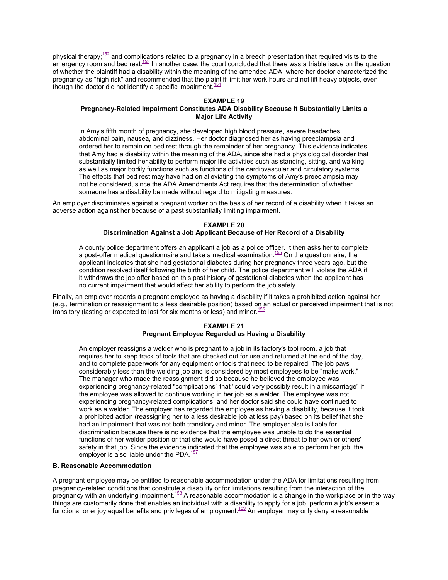physical therapy; $152$  and complications related to a pregnancy in a breech presentation that required visits to the emergency room and bed rest. $153$  In another case, the court concluded that there was a triable issue on the question of whether the plaintiff had a disability within the meaning of the amended ADA, where her doctor characterized the pregnancy as "high risk" and recommended that the plaintiff limit her work hours and not lift heavy objects, even though the doctor did not identify a specific impairment.<sup>[154](#page-0-1)</sup>

#### **EXAMPLE 19**

#### **Pregnancy-Related Impairment Constitutes ADA Disability Because It Substantially Limits a Major Life Activity**

In Amy's fifth month of pregnancy, she developed high blood pressure, severe headaches, abdominal pain, nausea, and dizziness. Her doctor diagnosed her as having preeclampsia and ordered her to remain on bed rest through the remainder of her pregnancy. This evidence indicates that Amy had a disability within the meaning of the ADA, since she had a physiological disorder that substantially limited her ability to perform major life activities such as standing, sitting, and walking, as well as major bodily functions such as functions of the cardiovascular and circulatory systems. The effects that bed rest may have had on alleviating the symptoms of Amy's preeclampsia may not be considered, since the ADA Amendments Act requires that the determination of whether someone has a disability be made without regard to mitigating measures.

An employer discriminates against a pregnant worker on the basis of her record of a disability when it takes an adverse action against her because of a past substantially limiting impairment.

#### **EXAMPLE 20**

#### **Discrimination Against a Job Applicant Because of Her Record of a Disability**

A county police department offers an applicant a job as a police officer. It then asks her to complete a post-offer medical questionnaire and take a medical examination.<sup>[155](#page-0-1)</sup> On the questionnaire, the applicant indicates that she had gestational diabetes during her pregnancy three years ago, but the condition resolved itself following the birth of her child. The police department will violate the ADA if it withdraws the job offer based on this past history of gestational diabetes when the applicant has no current impairment that would affect her ability to perform the job safely.

Finally, an employer regards a pregnant employee as having a disability if it takes a prohibited action against her (e.g., termination or reassignment to a less desirable position) based on an actual or perceived impairment that is not transitory (lasting or expected to last for six months or less) and minor.  $156$ 

#### **EXAMPLE 21 Pregnant Employee Regarded as Having a Disability**

An employer reassigns a welder who is pregnant to a job in its factory's tool room, a job that requires her to keep track of tools that are checked out for use and returned at the end of the day, and to complete paperwork for any equipment or tools that need to be repaired. The job pays considerably less than the welding job and is considered by most employees to be "make work." The manager who made the reassignment did so because he believed the employee was experiencing pregnancy-related "complications" that "could very possibly result in a miscarriage" if the employee was allowed to continue working in her job as a welder. The employee was not experiencing pregnancy-related complications, and her doctor said she could have continued to work as a welder. The employer has regarded the employee as having a disability, because it took a prohibited action (reassigning her to a less desirable job at less pay) based on its belief that she had an impairment that was not both transitory and minor. The employer also is liable for discrimination because there is no evidence that the employee was unable to do the essential functions of her welder position or that she would have posed a direct threat to her own or others' safety in that job. Since the evidence indicated that the employee was able to perform her job, the employer is also liable under the PDA.<sup>[157](#page-0-1)</sup>

#### <span id="page-18-0"></span>**B. Reasonable Accommodation**

A pregnant employee may be entitled to reasonable accommodation under the ADA for limitations resulting from pregnancy-related conditions that constitute a disability or for limitations resulting from the interaction of the pregnancy with an underlying impairment.<sup>[158](#page-0-1)</sup> A reasonable accommodation is a change in the workplace or in the way things are customarily done that enables an individual with a disability to apply for a job, perform a job's essential functions, or enjoy equal benefits and privileges of employment.<sup>[159](#page-0-1)</sup> An employer may only deny a reasonable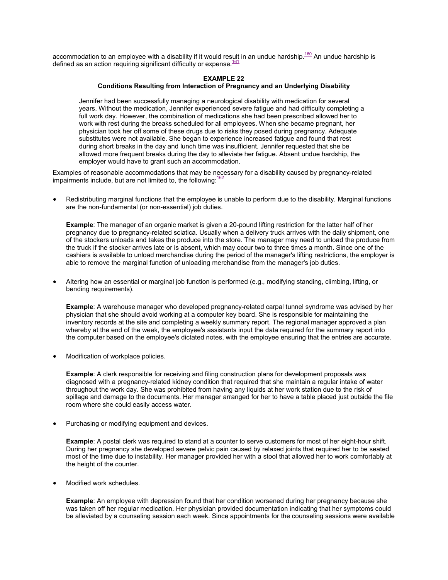accommodation to an employee with a disability if it would result in an undue hardship.<sup>[160](#page-0-1)</sup> An undue hardship is defined as an action requiring significant difficulty or expense.  $161$ 

#### **EXAMPLE 22**

#### **Conditions Resulting from Interaction of Pregnancy and an Underlying Disability**

Jennifer had been successfully managing a neurological disability with medication for several years. Without the medication, Jennifer experienced severe fatigue and had difficulty completing a full work day. However, the combination of medications she had been prescribed allowed her to work with rest during the breaks scheduled for all employees. When she became pregnant, her physician took her off some of these drugs due to risks they posed during pregnancy. Adequate substitutes were not available. She began to experience increased fatigue and found that rest during short breaks in the day and lunch time was insufficient. Jennifer requested that she be allowed more frequent breaks during the day to alleviate her fatigue. Absent undue hardship, the employer would have to grant such an accommodation.

Examples of reasonable accommodations that may be necessary for a disability caused by pregnancy-related impairments include, but are not limited to, the following:  $162$ 

 Redistributing marginal functions that the employee is unable to perform due to the disability. Marginal functions are the non-fundamental (or non-essential) job duties.

**Example**: The manager of an organic market is given a 20-pound lifting restriction for the latter half of her pregnancy due to pregnancy-related sciatica. Usually when a delivery truck arrives with the daily shipment, one of the stockers unloads and takes the produce into the store. The manager may need to unload the produce from the truck if the stocker arrives late or is absent, which may occur two to three times a month. Since one of the cashiers is available to unload merchandise during the period of the manager's lifting restrictions, the employer is able to remove the marginal function of unloading merchandise from the manager's job duties.

 Altering how an essential or marginal job function is performed (e.g., modifying standing, climbing, lifting, or bending requirements).

**Example**: A warehouse manager who developed pregnancy-related carpal tunnel syndrome was advised by her physician that she should avoid working at a computer key board. She is responsible for maintaining the inventory records at the site and completing a weekly summary report. The regional manager approved a plan whereby at the end of the week, the employee's assistants input the data required for the summary report into the computer based on the employee's dictated notes, with the employee ensuring that the entries are accurate.

Modification of workplace policies.

**Example**: A clerk responsible for receiving and filing construction plans for development proposals was diagnosed with a pregnancy-related kidney condition that required that she maintain a regular intake of water throughout the work day. She was prohibited from having any liquids at her work station due to the risk of spillage and damage to the documents. Her manager arranged for her to have a table placed just outside the file room where she could easily access water.

Purchasing or modifying equipment and devices.

**Example**: A postal clerk was required to stand at a counter to serve customers for most of her eight-hour shift. During her pregnancy she developed severe pelvic pain caused by relaxed joints that required her to be seated most of the time due to instability. Her manager provided her with a stool that allowed her to work comfortably at the height of the counter.

Modified work schedules.

**Example**: An employee with depression found that her condition worsened during her pregnancy because she was taken off her regular medication. Her physician provided documentation indicating that her symptoms could be alleviated by a counseling session each week. Since appointments for the counseling sessions were available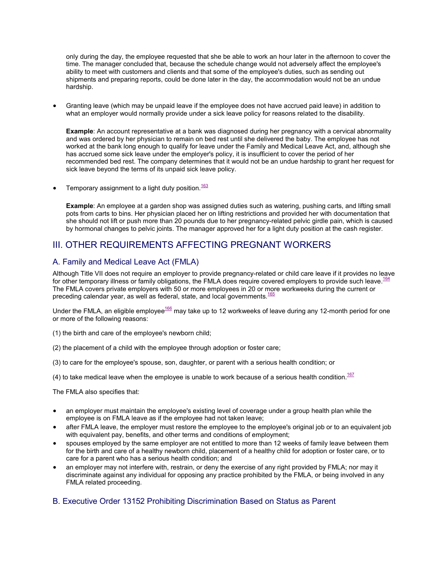only during the day, the employee requested that she be able to work an hour later in the afternoon to cover the time. The manager concluded that, because the schedule change would not adversely affect the employee's ability to meet with customers and clients and that some of the employee's duties, such as sending out shipments and preparing reports, could be done later in the day, the accommodation would not be an undue hardship.

 Granting leave (which may be unpaid leave if the employee does not have accrued paid leave) in addition to what an employer would normally provide under a sick leave policy for reasons related to the disability.

**Example**: An account representative at a bank was diagnosed during her pregnancy with a cervical abnormality and was ordered by her physician to remain on bed rest until she delivered the baby. The employee has not worked at the bank long enough to qualify for leave under the Family and Medical Leave Act, and, although she has accrued some sick leave under the employer's policy, it is insufficient to cover the period of her recommended bed rest. The company determines that it would not be an undue hardship to grant her request for sick leave beyond the terms of its unpaid sick leave policy.

Temporary assignment to a light duty position. $163$ 

**Example**: An employee at a garden shop was assigned duties such as watering, pushing carts, and lifting small pots from carts to bins. Her physician placed her on lifting restrictions and provided her with documentation that she should not lift or push more than 20 pounds due to her pregnancy-related pelvic girdle pain, which is caused by hormonal changes to pelvic joints. The manager approved her for a light duty position at the cash register.

# <span id="page-20-0"></span>III. OTHER REQUIREMENTS AFFECTING PREGNANT WORKERS

# <span id="page-20-1"></span>A. Family and Medical Leave Act (FMLA)

Although Title VII does not require an employer to provide pregnancy-related or child care leave if it provides no leave for other temporary illness or family obligations, the FMLA does require covered employers to provide such leave.<sup>16</sup> The FMLA covers private employers with 50 or more employees in 20 or more workweeks during the current or preceding calendar year, as well as federal, state, and local governments.<sup>[165](#page-0-1)</sup>

Under the FMLA, an eligible e[m](#page-0-1)ployee<sup>166</sup> may take up to 12 workweeks of leave during any 12-month period for one or more of the following reasons:

- (1) the birth and care of the employee's newborn child;
- (2) the placement of a child with the employee through adoption or foster care;
- (3) to care for the employee's spouse, son, daughter, or parent with a serious health condition; or
- (4) to take medical leave when the employee is unable to work because of a serious health condition.<sup>167</sup>

The FMLA also specifies that:

- an employer must maintain the employee's existing level of coverage under a group health plan while the employee is on FMLA leave as if the employee had not taken leave;
- after FMLA leave, the employer must restore the employee to the employee's original job or to an equivalent job with equivalent pay, benefits, and other terms and conditions of employment;
- spouses employed by the same employer are not entitled to more than 12 weeks of family leave between them for the birth and care of a healthy newborn child, placement of a healthy child for adoption or foster care, or to care for a parent who has a serious health condition; and
- an employer may not interfere with, restrain, or deny the exercise of any right provided by FMLA; nor may it discriminate against any individual for opposing any practice prohibited by the FMLA, or being involved in any FMLA related proceeding.

## <span id="page-20-2"></span>B. Executive Order 13152 Prohibiting Discrimination Based on Status as Parent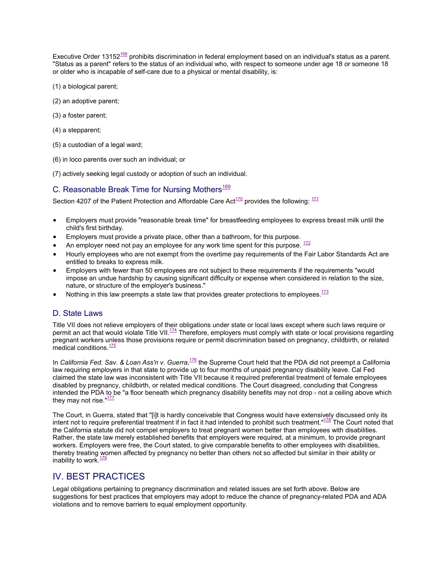Executive Order 13152<sup>[168](#page-0-1)</sup> prohibits discrimination in federal employment based on an individual's status as a parent. "Status as a parent" refers to the status of an individual who, with respect to someone under age 18 or someone 18 or older who is incapable of self-care due to a physical or mental disability, is:

- (1) a biological parent;
- (2) an adoptive parent;
- (3) a foster parent;
- (4) a stepparent;
- (5) a custodian of a legal ward;
- (6) in loco parentis over such an individual; or

(7) actively seeking legal custody or adoption of such an individual.

# <span id="page-21-0"></span>C. Reasonable Break Time for Nursing Mothers<sup>169</sup>

Section4207 of the Patient Protection and Affordable Care Act<sup>170</sup> provides the following:  $171$ 

- Employers must provide "reasonable break time" for breastfeeding employees to express breast milk until the child's first birthday.
- Employers must provide a private place, other than a bathroom, for this purpose.
- An employer need not pay an employee for any work time spent for this purpose.  $\frac{172}{2}$  $\frac{172}{2}$  $\frac{172}{2}$
- Hourly employees who are not exempt from the overtime pay requirements of the Fair Labor Standards Act are entitled to breaks to express milk.
- Employers with fewer than 50 employees are not subject to these requirements if the requirements "would impose an undue hardship by causing significant difficulty or expense when considered in relation to the size, nature, or structure of the employer's business."
- Nothing in this law preempts a state law that provides greater protections to employees. $173$

### <span id="page-21-1"></span>D. State Laws

Title VII does not relieve employers of their obligations under state or local laws except where such laws require or permit an act that would violate Title VII.<sup>[174](#page-0-1)</sup> Therefore, employers must comply with state or local provisions regarding pregnant workers unless those provisions require or permit discrimination based on pregnancy, childbirth, or related medical conditions.<sup>[175](#page-0-1)</sup>

In *California Fed. Sav. & Loan Ass'n v. Guerra*,<sup>176</sup> the Supreme Court held that the PDA did not preempt a California law requiring employers in that state to provide [up](#page-0-1) to four months of unpaid pregnancy disability leave. Cal Fed claimed the state law was inconsistent with Title VII because it required preferential treatment of female employees disabled by pregnancy, childbirth, or related medical conditions. The Court disagreed, concluding that Congress intended the PDA to be "a floor beneath which pregnancy disability benefits may not drop - not a ceiling above which they may not rise.  $177$ 

The Court, in Guerra, stated that "[i]t is hardly conceivable that Congress would have extensively discussed only its intent not to require preferential treatment if in fact it had intended to prohibit such treatment." $178$  The Court noted that the California statute did not compel employers to treat pregnant women better than employees with disabilities. Rather, the state law merely established benefits that employers were required, at a minimum, to provide pregnant workers. Employers were free, the Court stated, to give comparable benefits to other employees with disabilities, thereby treating women affected by pregnancy no better than others not so affected but similar in their ability or inability to work.<sup>[179](#page-0-1)</sup>

# <span id="page-21-2"></span>IV. BEST PRACTICES

Legal obligations pertaining to pregnancy discrimination and related issues are set forth above. Below are suggestions for best practices that employers may adopt to reduce the chance of pregnancy-related PDA and ADA violations and to remove barriers to equal employment opportunity.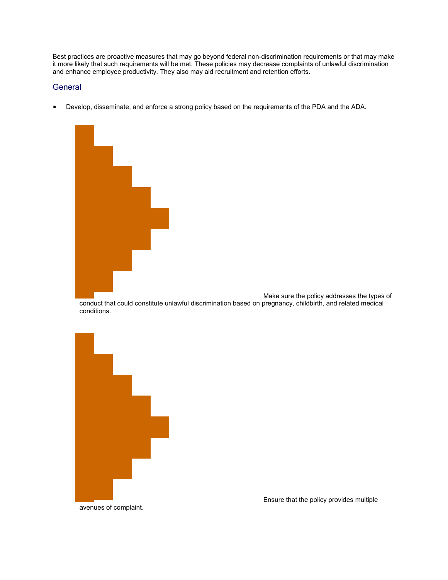Best practices are proactive measures that may go beyond federal non-discrimination requirements or that may make it more likely that such requirements will be met. These policies may decrease complaints of unlawful discrimination and enhance employee productivity. They also may aid recruitment and retention efforts.

### **General**

Develop, disseminate, and enforce a strong policy based on the requirements of the PDA and the ADA.



Make sure the policy addresses the types of conduct that could constitute unlawful discrimination based on pregnancy, childbirth, and related medical conditions.



Ensure that the policy provides multiple

avenues of complaint.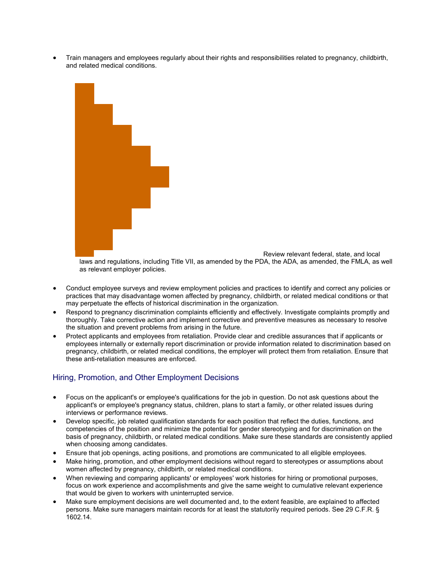Train managers and employees regularly about their rights and responsibilities related to pregnancy, childbirth, and related medical conditions.



Review relevant federal, state, and local laws and regulations, including Title VII, as amended by the PDA, the ADA, as amended, the FMLA, as well

- as relevant employer policies.
- Conduct employee surveys and review employment policies and practices to identify and correct any policies or practices that may disadvantage women affected by pregnancy, childbirth, or related medical conditions or that may perpetuate the effects of historical discrimination in the organization.
- Respond to pregnancy discrimination complaints efficiently and effectively. Investigate complaints promptly and thoroughly. Take corrective action and implement corrective and preventive measures as necessary to resolve the situation and prevent problems from arising in the future.
- Protect applicants and employees from retaliation. Provide clear and credible assurances that if applicants or employees internally or externally report discrimination or provide information related to discrimination based on pregnancy, childbirth, or related medical conditions, the employer will protect them from retaliation. Ensure that these anti-retaliation measures are enforced.

# Hiring, Promotion, and Other Employment Decisions

- Focus on the applicant's or employee's qualifications for the job in question. Do not ask questions about the applicant's or employee's pregnancy status, children, plans to start a family, or other related issues during interviews or performance reviews.
- Develop specific, job related qualification standards for each position that reflect the duties, functions, and competencies of the position and minimize the potential for gender stereotyping and for discrimination on the basis of pregnancy, childbirth, or related medical conditions. Make sure these standards are consistently applied when choosing among candidates.
- Ensure that job openings, acting positions, and promotions are communicated to all eligible employees.
- Make hiring, promotion, and other employment decisions without regard to stereotypes or assumptions about women affected by pregnancy, childbirth, or related medical conditions.
- When reviewing and comparing applicants' or employees' work histories for hiring or promotional purposes, focus on work experience and accomplishments and give the same weight to cumulative relevant experience that would be given to workers with uninterrupted service.
- Make sure employment decisions are well documented and, to the extent feasible, are explained to affected persons. Make sure managers maintain records for at least the statutorily required periods. See 29 C.F.R. § 1602.14.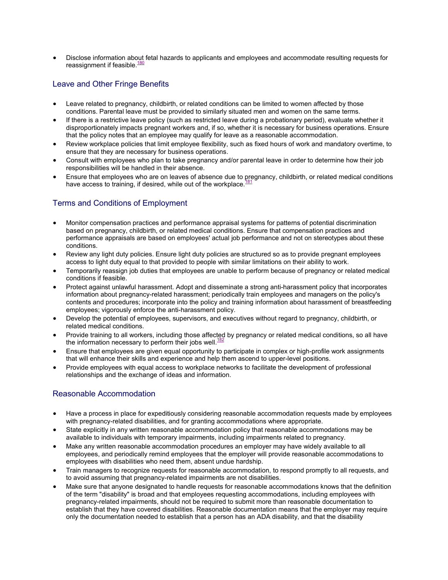Disclose information about fetal hazards to applicants and employees and accommodate resulting requests for reassignment if feasible.<sup>[180](#page-0-1)</sup>

# Leave and Other Fringe Benefits

- Leave related to pregnancy, childbirth, or related conditions can be limited to women affected by those conditions. Parental leave must be provided to similarly situated men and women on the same terms.
- If there is a restrictive leave policy (such as restricted leave during a probationary period), evaluate whether it disproportionately impacts pregnant workers and, if so, whether it is necessary for business operations. Ensure that the policy notes that an employee may qualify for leave as a reasonable accommodation.
- Review workplace policies that limit employee flexibility, such as fixed hours of work and mandatory overtime, to ensure that they are necessary for business operations.
- Consult with employees who plan to take pregnancy and/or parental leave in order to determine how their job responsibilities will be handled in their absence.
- Ensure that employees who are on leaves of absence due to pregnancy, childbirth, or related medical conditions have access to training, if desired, while out of the workplace. $181$

# Terms and Conditions of Employment

- Monitor compensation practices and performance appraisal systems for patterns of potential discrimination based on pregnancy, childbirth, or related medical conditions. Ensure that compensation practices and performance appraisals are based on employees' actual job performance and not on stereotypes about these conditions.
- Review any light duty policies. Ensure light duty policies are structured so as to provide pregnant employees access to light duty equal to that provided to people with similar limitations on their ability to work.
- Temporarily reassign job duties that employees are unable to perform because of pregnancy or related medical conditions if feasible.
- Protect against unlawful harassment. Adopt and disseminate a strong anti-harassment policy that incorporates information about pregnancy-related harassment; periodically train employees and managers on the policy's contents and procedures; incorporate into the policy and training information about harassment of breastfeeding employees; vigorously enforce the anti-harassment policy.
- Develop the potential of employees, supervisors, and executives without regard to pregnancy, childbirth, or related medical conditions.
- Provide training to all workers, including those affected by pregnancy or related medical conditions, so all have the information necessary to perform their jobs well. $182$
- Ensure that employees are given equal opportunity to participate in complex or high-profile work assignments that will enhance their skills and experience and help them ascend to upper-level positions.
- Provide employees with equal access to workplace networks to facilitate the development of professional relationships and the exchange of ideas and information.

## Reasonable Accommodation

- Have a process in place for expeditiously considering reasonable accommodation requests made by employees with pregnancy-related disabilities, and for granting accommodations where appropriate.
- State explicitly in any written reasonable accommodation policy that reasonable accommodations may be available to individuals with temporary impairments, including impairments related to pregnancy.
- Make any written reasonable accommodation procedures an employer may have widely available to all employees, and periodically remind employees that the employer will provide reasonable accommodations to employees with disabilities who need them, absent undue hardship.
- Train managers to recognize requests for reasonable accommodation, to respond promptly to all requests, and to avoid assuming that pregnancy-related impairments are not disabilities.
- Make sure that anyone designated to handle requests for reasonable accommodations knows that the definition of the term "disability" is broad and that employees requesting accommodations, including employees with pregnancy-related impairments, should not be required to submit more than reasonable documentation to establish that they have covered disabilities. Reasonable documentation means that the employer may require only the documentation needed to establish that a person has an ADA disability, and that the disability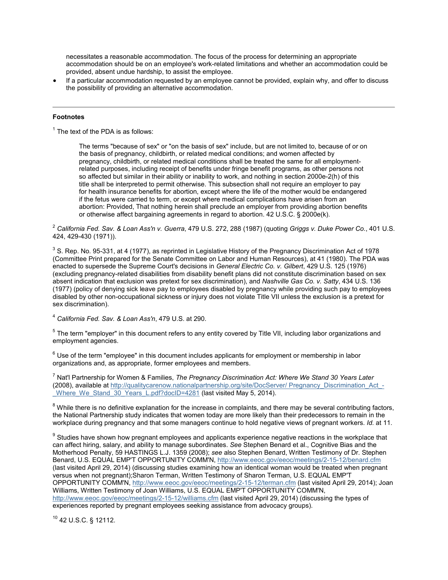necessitates a reasonable accommodation. The focus of the process for determining an appropriate accommodation should be on an employee's work-related limitations and whether an accommodation could be provided, absent undue hardship, to assist the employee.

 If a particular accommodation requested by an employee cannot be provided, explain why, and offer to discuss the possibility of providing an alternative accommodation.

#### **Footnotes**

<span id="page-25-0"></span> $1$  The text of the PDA is as follows:

The terms "because of sex" or "on the basis of sex" include, but are not limited to, because of or on the basis of pregnancy, childbirth, or related medical conditions; and women affected by pregnancy, childbirth, or related medical conditions shall be treated the same for all employmentrelated purposes, including receipt of benefits under fringe benefit programs, as other persons not so affected but similar in their ability or inability to work, and nothing in section 2000e-2(h) of this title shall be interpreted to permit otherwise. This subsection shall not require an employer to pay for health insurance benefits for abortion, except where the life of the mother would be endangered if the fetus were carried to term, or except where medical complications have arisen from an abortion: Provided, That nothing herein shall preclude an employer from providing abortion benefits or otherwise affect bargaining agreements in regard to abortion. 42 U.S.C. § 2000e(k).

<span id="page-25-1"></span><sup>2</sup> *California Fed. Sav. & Loan Ass'n v. Guerra*, 479 U.S. 272, 288 (1987) (quoting *Griggs v. Duke Power Co.*, 401 U.S. 424, 429-430 (1971)).

<span id="page-25-2"></span> $^3$  S. Rep. No. 95-331, at 4 (1977), as reprinted in Legislative History of the Pregnancy Discrimination Act of 1978 (Committee Print prepared for the Senate Committee on Labor and Human Resources), at 41 (1980). The PDA was enacted to supersede the Supreme Court's decisions in *General Electric Co. v. Gilbert*, 429 U.S. 125 (1976) (excluding pregnancy-related disabilities from disability benefit plans did not constitute discrimination based on sex absent indication that exclusion was pretext for sex discrimination), and *Nashville Gas Co. v. Satty*, 434 U.S. 136 (1977) (policy of denying sick leave pay to employees disabled by pregnancy while providing such pay to employees disabled by other non-occupational sickness or injury does not violate Title VII unless the exclusion is a pretext for sex discrimination).

<span id="page-25-3"></span><sup>4</sup> *California Fed. Sav. & Loan Ass'n*, 479 U.S. at 290.

<span id="page-25-4"></span><sup>5</sup> The term "employer" in this document refers to any entity covered by Title VII, including labor organizations and employment agencies.

<span id="page-25-5"></span> $6$  Use of the term "employee" in this document includes applicants for employment or membership in labor organizations and, as appropriate, former employees and members.

<span id="page-25-6"></span><sup>7</sup> Nat'l Partnership for Women & Families, *The Pregnancy Discrimination Act: Where We Stand 30 Years Later* (2008), available at [http://qualitycarenow.nationalpartnership.org/site/DocServer/ Pregnancy\\_Discrimination\\_Act\\_-](http://qualitycarenow.nationalpartnership.org/site/DocServer/ Pregnancy_Discrimination_Act_-_Where_We_Stand_30_Years_L.pdf?docID=4281) Where We Stand 30 Years L.pdf?docID=4281 (last visited May 5, 2014).

<span id="page-25-7"></span> $8$  While there is no definitive explanation for the increase in complaints, and there may be several contributing factors, the National Partnership study indicates that women today are more likely than their predecessors to remain in the workplace during pregnancy and that some managers continue to hold negative views of pregnant workers. *Id.* at 11.

<span id="page-25-8"></span> $^9$  Studies have shown how pregnant employees and applicants experience negative reactions in the workplace that can affect hiring, salary, and ability to manage subordinates. *See* Stephen Benard et al., Cognitive Bias and the Motherhood Penalty, 59 HASTINGS L.J. 1359 (2008); *see* also Stephen Benard, Written Testimony of Dr. Stephen Benard, U.S. EQUAL EMP'T OPPORTUNITY COMM'N, <http://www.eeoc.gov/eeoc/meetings/2-15-12/benard.cfm> (last visited April 29, 2014) (discussing studies examining how an identical woman would be treated when pregnant versus when not pregnant);Sharon Terman, Written Testimony of Sharon Terman, U.S. EQUAL EMP'T OPPORTUNITY COMM'N, <http://www.eeoc.gov/eeoc/meetings/2-15-12/terman.cfm> (last visited April 29, 2014); Joan Williams, Written Testimony of Joan Williams, U.S. EQUAL EMP'T OPPORTUNITY COMM'N, <http://www.eeoc.gov/eeoc/meetings/2-15-12/williams.cfm> (last visited April 29, 2014) (discussing the types of experiences reported by pregnant employees seeking assistance from advocacy groups).

<span id="page-25-9"></span><sup>10</sup> 42 U.S.C. § 12112.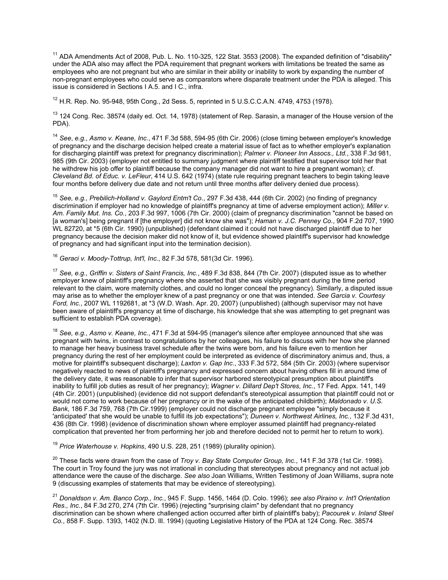<span id="page-26-0"></span> $11$  ADA Amendments Act of 2008, Pub. L. No. 110-325, 122 Stat. 3553 (2008). The expanded definition of "disability" under the ADA also may affect the PDA requirement that pregnant workers with limitations be treated the same as employees who are not pregnant but who are similar in their ability or inability to work by expanding the number of non-pregnant employees who could serve as comparators where disparate treatment under the PDA is alleged. This issue is considered in Sections I A.5. and I C., infra.

<span id="page-26-1"></span> $12$  H.R. Rep. No. 95-948, 95th Cong., 2d Sess. 5, reprinted in 5 U.S.C.C.A.N. 4749, 4753 (1978).

<span id="page-26-2"></span><sup>13</sup> 124 Cong. Rec. 38574 (daily ed. Oct. 14, 1978) (statement of Rep. Sarasin, a manager of the House version of the PDA).

<span id="page-26-3"></span><sup>14</sup> *See*, *e.g., Asmo v. Keane, Inc.*, 471 F.3d 588, 594-95 (6th Cir. 2006) (close timing between employer's knowledge of pregnancy and the discharge decision helped create a material issue of fact as to whether employer's explanation for discharging plaintiff was pretext for pregnancy discrimination); *Palmer v. Pioneer Inn Assocs., Ltd.*, 338 F.3d 981, 985 (9th Cir. 2003) (employer not entitled to summary judgment where plaintiff testified that supervisor told her that he withdrew his job offer to plaintiff because the company manager did not want to hire a pregnant woman); cf. *Cleveland Bd. of Educ. v. LeFleur*, 414 U.S. 642 (1974) (state rule requiring pregnant teachers to begin taking leave four months before delivery due date and not return until three months after delivery denied due process).

<span id="page-26-4"></span><sup>15</sup> *See, e.g., Prebilich-Holland v. Gaylord Entm't Co.*, 297 F.3d 438, 444 (6th Cir. 2002) (no finding of pregnancy discrimination if employer had no knowledge of plaintiff's pregnancy at time of adverse employment action); *Miller v. Am. Family Mut. Ins. Co.*, 203 F.3d 997, 1006 (7th Cir. 2000) (claim of pregnancy discrimination "cannot be based on [a woman's] being pregnant if [the employer] did not know she was"); *Haman v. J.C. Penney Co.*, 904 F.2d 707, 1990 WL 82720, at \*5 (6th Cir. 1990) (unpublished) (defendant claimed it could not have discharged plaintiff due to her pregnancy because the decision maker did not know of it, but evidence showed plaintiff's supervisor had knowledge of pregnancy and had significant input into the termination decision).

<span id="page-26-5"></span><sup>16</sup> *Geraci v. Moody-Tottrup, Int'l, Inc.*, 82 F.3d 578, 581(3d Cir. 1996).

<span id="page-26-6"></span><sup>17</sup> *See, e.g., Griffin v. Sisters of Saint Francis, Inc.*, 489 F.3d 838, 844 (7th Cir. 2007) (disputed issue as to whether employer knew of plaintiff's pregnancy where she asserted that she was visibly pregnant during the time period relevant to the claim, wore maternity clothes, and could no longer conceal the pregnancy). Similarly, a disputed issue may arise as to whether the employer knew of a past pregnancy or one that was intended. *See Garcia v. Courtesy Ford, Inc.*, 2007 WL 1192681, at \*3 (W.D. Wash. Apr. 20, 2007) (unpublished) (although supervisor may not have been aware of plaintiff's pregnancy at time of discharge, his knowledge that she was attempting to get pregnant was sufficient to establish PDA coverage).

<span id="page-26-7"></span><sup>18</sup> *See, e.g., Asmo v. Keane, Inc.*, 471 F.3d at 594-95 (manager's silence after employee announced that she was pregnant with twins, in contrast to congratulations by her colleagues, his failure to discuss with her how she planned to manage her heavy business travel schedule after the twins were born, and his failure even to mention her pregnancy during the rest of her employment could be interpreted as evidence of discriminatory animus and, thus, a motive for plaintiff's subsequent discharge); *Laxton v. Gap Inc.*, 333 F.3d 572, 584 (5th Cir. 2003) (where supervisor negatively reacted to news of plaintiff's pregnancy and expressed concern about having others fill in around time of the delivery date, it was reasonable to infer that supervisor harbored stereotypical presumption about plaintiff's inability to fulfill job duties as result of her pregnancy); *Wagner v. Dillard Dep't Stores, Inc.*, 17 Fed. Appx. 141, 149 (4th Cir. 2001) (unpublished) (evidence did not support defendant's stereotypical assumption that plaintiff could not or would not come to work because of her pregnancy or in the wake of the anticipated childbirth); *Maldonado v. U.S. Bank*, 186 F.3d 759, 768 (7th Cir.1999) (employer could not discharge pregnant employee "simply because it 'anticipated' that she would be unable to fulfill its job expectations"); *Duneen v. Northwest Airlines, Inc.*, 132 F.3d 431, 436 (8th Cir. 1998) (evidence of discrimination shown where employer assumed plaintiff had pregnancy-related complication that prevented her from performing her job and therefore decided not to permit her to return to work).

<sup>19</sup> *Price Waterhouse v. Hopkins*, 490 U.S. 228, 251 (1989) (plurality opinion).

<span id="page-26-8"></span><sup>20</sup> These facts were drawn from the case of *Troy v. Bay State Computer Group, Inc.*, 141 F.3d 378 (1st Cir. 1998). The court in Troy found the jury was not irrational in concluding that stereotypes about pregnancy and not actual job attendance were the cause of the discharge. *See also* Joan Williams, Written Testimony of Joan Williams, supra note 9 (discussing examples of statements that may be evidence of stereotyping).

<span id="page-26-9"></span><sup>21</sup> *Donaldson v. Am. Banco Corp., Inc.*, 945 F. Supp. 1456, 1464 (D. Colo. 1996); *see also Piraino v. Int'l Orientation Res., Inc.*, 84 F.3d 270, 274 (7th Cir. 1996) (rejecting "surprising claim" by defendant that no pregnancy discrimination can be shown where challenged action occurred after birth of plaintiff's baby); *Pacourek v. Inland Steel Co.*, 858 F. Supp. 1393, 1402 (N.D. Ill. 1994) (quoting Legislative History of the PDA at 124 Cong. Rec. 38574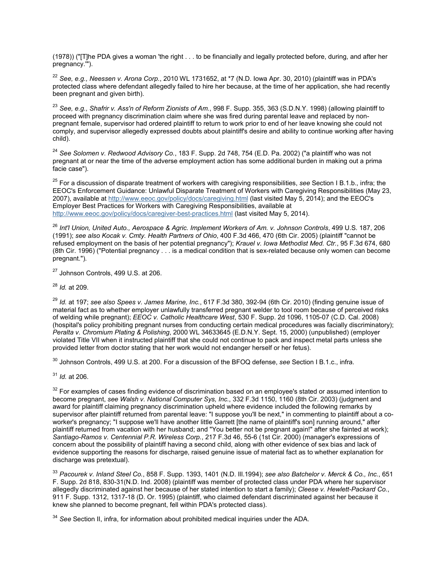(1978)) ("[T]he PDA gives a woman 'the right . . . to be financially and legally protected before, during, and after her pregnancy.'").

<span id="page-27-0"></span><sup>22</sup> *See, e.g., Neessen v. Arona Corp.*, 2010 WL 1731652, at \*7 (N.D. Iowa Apr. 30, 2010) (plaintiff was in PDA's protected class where defendant allegedly failed to hire her because, at the time of her application, she had recently been pregnant and given birth).

<span id="page-27-1"></span><sup>23</sup> *See, e.g., Shafrir v. Ass'n of Reform Zionists of Am.*, 998 F. Supp. 355, 363 (S.D.N.Y. 1998) (allowing plaintiff to proceed with pregnancy discrimination claim where she was fired during parental leave and replaced by nonpregnant female, supervisor had ordered plaintiff to return to work prior to end of her leave knowing she could not comply, and supervisor allegedly expressed doubts about plaintiff's desire and ability to continue working after having child).

<span id="page-27-2"></span><sup>24</sup> *See Solomen v. Redwood Advisory Co.*, 183 F. Supp. 2d 748, 754 (E.D. Pa. 2002) ("a plaintiff who was not pregnant at or near the time of the adverse employment action has some additional burden in making out a prima facie case").

<span id="page-27-3"></span><sup>25</sup> For a discussion of disparate treatment of workers with caregiving responsibilities, *see* Section I B.1.b., infra; the EEOC's Enforcement Guidance: Unlawful Disparate Treatment of Workers with Caregiving Responsibilities (May 23, 2007), available at <http://www.eeoc.gov/policy/docs/caregiving.html> (last visited May 5, 2014); and the EEOC's Employer Best Practices for Workers with Caregiving Responsibilities, available at http://www.eeoc.gov/policy/docs/caregiver-best-practices.html (last visited May 5, 2014).

<span id="page-27-4"></span><sup>26</sup> *Int'l Union, United Auto., Aerospace & Agric. Implement Workers of Am. v. Johnson Controls*, 499 U.S. 187, 206 (1991); *see also Kocak v. Cmty. Health Partners of Ohio*, 400 F.3d 466, 470 (6th Cir. 2005) (plaintiff "cannot be refused employment on the basis of her potential pregnancy"); *Krauel v. Iowa Methodist Med. Ctr.*, 95 F.3d 674, 680 (8th Cir. 1996) ("Potential pregnancy . . . is a medical condition that is sex-related because only women can become pregnant.").

<span id="page-27-5"></span><sup>27</sup> Johnson Controls, 499 U.S. at 206.

<span id="page-27-6"></span><sup>28</sup> *Id.* at 209.

<span id="page-27-7"></span><sup>29</sup> *Id.* at 197; *see also Spees v. James Marine, Inc.*, 617 F.3d 380, 392-94 (6th Cir. 2010) (finding genuine issue of material fact as to whether employer unlawfully transferred pregnant welder to tool room because of perceived risks of welding while pregnant); *EEOC v. Catholic Healthcare West*, 530 F. Supp. 2d 1096, 1105-07 (C.D. Cal. 2008) (hospital's policy prohibiting pregnant nurses from conducting certain medical procedures was facially discriminatory); *Peralta v. Chromium Plating & Polishing*, 2000 WL 34633645 (E.D.N.Y. Sept. 15, 2000) (unpublished) (employer violated Title VII when it instructed plaintiff that she could not continue to pack and inspect metal parts unless she provided letter from doctor stating that her work would not endanger herself or her fetus).

<span id="page-27-8"></span><sup>30</sup> Johnson Controls, 499 U.S. at 200. For a discussion of the BFOQ defense, *see* Section I B.1.c., infra.

<span id="page-27-9"></span><sup>31</sup> *Id.* at 206.

<span id="page-27-10"></span><sup>32</sup> For examples of cases finding evidence of discrimination based on an employee's stated or assumed intention to become pregnant, *see Walsh v. National Computer Sys, Inc.*, 332 F.3d 1150, 1160 (8th Cir. 2003) (judgment and award for plaintiff claiming pregnancy discrimination upheld where evidence included the following remarks by supervisor after plaintiff returned from parental leave: "I suppose you'll be next," in commenting to plaintiff about a coworker's pregnancy; "I suppose we'll have another little Garrett [the name of plaintiff's son] running around," after plaintiff returned from vacation with her husband; and "You better not be pregnant again!" after she fainted at work); *Santiago-Ramos v. Centennial P.R. Wireless Corp.*, 217 F.3d 46, 55-6 (1st Cir. 2000) (manager's expressions of concern about the possibility of plaintiff having a second child, along with other evidence of sex bias and lack of evidence supporting the reasons for discharge, raised genuine issue of material fact as to whether explanation for discharge was pretextual).

<span id="page-27-11"></span><sup>33</sup> *Pacourek v. Inland Steel Co.*, 858 F. Supp. 1393, 1401 (N.D. Ill.1994); *see also Batchelor v. Merck & Co., Inc.*, 651 F. Supp. 2d 818, 830-31(N.D. Ind. 2008) (plaintiff was member of protected class under PDA where her supervisor allegedly discriminated against her because of her stated intention to start a family); *Cleese v. Hewlett-Packard Co.*, 911 F. Supp. 1312, 1317-18 (D. Or. 1995) (plaintiff, who claimed defendant discriminated against her because it knew she planned to become pregnant, fell within PDA's protected class).

<span id="page-27-12"></span><sup>34</sup> *See* Section II, infra, for information about prohibited medical inquiries under the ADA.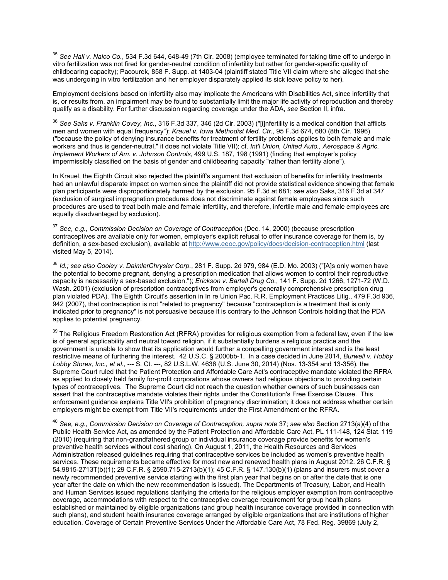<span id="page-28-0"></span><sup>35</sup> *See Hall v. Nalco Co.*, 534 F.3d 644, 648-49 (7th Cir. 2008) (employee terminated for taking time off to undergo in vitro fertilization was not fired for gender-neutral condition of infertility but rather for gender-specific quality of childbearing capacity); Pacourek, 858 F. Supp. at 1403-04 (plaintiff stated Title VII claim where she alleged that she was undergoing in vitro fertilization and her employer disparately applied its sick leave policy to her).

Employment decisions based on infertility also may implicate the Americans with Disabilities Act, since infertility that is, or results from, an impairment may be found to substantially limit the major life activity of reproduction and thereby qualify as a disability. For further discussion regarding coverage under the ADA, *see* Section II, infra.

<span id="page-28-1"></span><sup>36</sup> *See Saks v. Franklin Covey, Inc.*, 316 F.3d 337, 346 (2d Cir. 2003) ("[i]nfertility is a medical condition that afflicts men and women with equal frequency"); *Krauel v. Iowa Methodist Med. Ctr.*, 95 F.3d 674, 680 (8th Cir. 1996) ("because the policy of denying insurance benefits for treatment of fertility problems applies to both female and male workers and thus is gender-neutral," it does not violate Title VII); cf. *Int'l Union, United Auto., Aerospace & Agric. Implement Workers of Am. v. Johnson Controls*, 499 U.S. 187, 198 (1991) (finding that employer's policy impermissibly classified on the basis of gender and childbearing capacity "rather than fertility alone").

In Krauel, the Eighth Circuit also rejected the plaintiff's argument that exclusion of benefits for infertility treatments had an unlawful disparate impact on women since the plaintiff did not provide statistical evidence showing that female plan participants were disproportionately harmed by the exclusion. 95 F.3d at 681; *see also* Saks, 316 F.3d at 347 (exclusion of surgical impregnation procedures does not discriminate against female employees since such procedures are used to treat both male and female infertility, and therefore, infertile male and female employees are equally disadvantaged by exclusion).

<span id="page-28-2"></span><sup>37</sup> *See, e.g., Commission Decision on Coverage of Contraception* (Dec. 14, 2000) (because prescription contraceptives are available only for women, employer's explicit refusal to offer insurance coverage for them is, by definition, a sex-based exclusion), available at <http://www.eeoc.gov/policy/docs/decision-contraception.html> (last visited May 5, 2014).

<span id="page-28-3"></span><sup>38</sup> *Id.; see also Cooley v. DaimlerChrysler Corp.*, 281 F. Supp. 2d 979, 984 (E.D. Mo. 2003) ("[A]s only women have the potential to become pregnant, denying a prescription medication that allows women to control their reproductive capacity is necessarily a sex-based exclusion."); *Erickson v. Bartell Drug Co.*, 141 F. Supp. 2d 1266, 1271-72 (W.D. Wash. 2001) (exclusion of prescription contraceptives from employer's generally comprehensive prescription drug plan violated PDA). The Eighth Circuit's assertion in In re Union Pac. R.R. Employment Practices Litig., 479 F.3d 936, 942 (2007), that contraception is not "related to pregnancy" because "contraception is a treatment that is only indicated prior to pregnancy" is not persuasive because it is contrary to the Johnson Controls holding that the PDA applies to potential pregnancy.

<span id="page-28-4"></span><sup>39</sup> The Religious Freedom Restoration Act (RFRA) provides for religious exemption from a federal law, even if the law is of general applicability and neutral toward religion, if it substantially burdens a religious practice and the government is unable to show that its application would further a compelling government interest and is the least restrictive means of furthering the interest. 42 U.S.C. § 2000bb-1. In a case decided in June 2014, *Burwell v. Hobby Lobby Stores, Inc., et al.*, --- S. Ct. ---, 82 U.S.L.W. 4636 (U.S. June 30, 2014) (Nos. 13-354 and 13-356), the Supreme Court ruled that the Patient Protection and Affordable Care Act's contraceptive mandate violated the RFRA as applied to closely held family for-profit corporations whose owners had religious objections to providing certain types of contraceptives. The Supreme Court did not reach the question whether owners of such businesses can assert that the contraceptive mandate violates their rights under the Constitution's Free Exercise Clause. This enforcement guidance explains Title VII's prohibition of pregnancy discrimination; it does not address whether certain employers might be exempt from Title VII's requirements under the First Amendment or the RFRA.

<span id="page-28-5"></span><sup>40</sup> *See, e.g., Commission Decision on Coverage of Contraception, supra note* 37; *see also* Section 2713(a)(4) of the Public Health Service Act, as amended by the Patient Protection and Affordable Care Act, PL 111-148, 124 Stat. 119 (2010) (requiring that non-grandfathered group or individual insurance coverage provide benefits for women's preventive health services without cost sharing). On August 1, 2011, the Health Resources and Services Administration released guidelines requiring that contraceptive services be included as women's preventive health services. These requirements became effective for most new and renewed health plans in August 2012. 26 C.F.R. § 54.9815-2713T(b)(1); 29 C.F.R. § 2590.715-2713(b)(1); 45 C.F.R. § 147.130(b)(1) (plans and insurers must cover a newly recommended preventive service starting with the first plan year that begins on or after the date that is one year after the date on which the new recommendation is issued). The Departments of Treasury, Labor, and Health and Human Services issued regulations clarifying the criteria for the religious employer exemption from contraceptive coverage, accommodations with respect to the contraceptive coverage requirement for group health plans established or maintained by eligible organizations (and group health insurance coverage provided in connection with such plans), and student health insurance coverage arranged by eligible organizations that are institutions of higher education. Coverage of Certain Preventive Services Under the Affordable Care Act, 78 Fed. Reg. 39869 (July 2,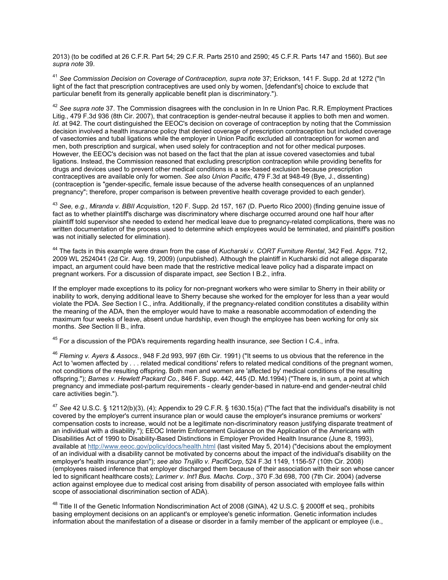2013) (to be codified at 26 C.F.R. Part 54; 29 C.F.R. Parts 2510 and 2590; 45 C.F.R. Parts 147 and 1560). But *see supra note* 39.

<span id="page-29-0"></span><sup>41</sup> *See Commission Decision on Coverage of Contraception, supra note* 37; Erickson, 141 F. Supp. 2d at 1272 ("In light of the fact that prescription contraceptives are used only by women, [defendant's] choice to exclude that particular benefit from its generally applicable benefit plan is discriminatory.").

<span id="page-29-1"></span><sup>42</sup> See supra note 37. The Commission disagrees with the conclusion in In re Union Pac. R.R. Employment Practices Litig., 479 F.3d 936 (8th Cir. 2007), that contraception is gender-neutral because it applies to both men and women. *Id.* at 942. The court distinguished the EEOC's decision on coverage of contraception by noting that the Commission decision involved a health insurance policy that denied coverage of prescription contraception but included coverage of vasectomies and tubal ligations while the employer in Union Pacific excluded all contraception for women and men, both prescription and surgical, when used solely for contraception and not for other medical purposes. However, the EEOC's decision was not based on the fact that the plan at issue covered vasectomies and tubal ligations. Instead, the Commission reasoned that excluding prescription contraception while providing benefits for drugs and devices used to prevent other medical conditions is a sex-based exclusion because prescription contraceptives are available only for women. *See also Union Pacific*, 479 F.3d at 948-49 (Bye, J., dissenting) (contraception is "gender-specific, female issue because of the adverse health consequences of an unplanned pregnancy"; therefore, proper comparison is between preventive health coverage provided to each gender).

<span id="page-29-2"></span><sup>43</sup> *See, e.g., Miranda v. BBII Acquisition*, 120 F. Supp. 2d 157, 167 (D. Puerto Rico 2000) (finding genuine issue of fact as to whether plaintiff's discharge was discriminatory where discharge occurred around one half hour after plaintiff told supervisor she needed to extend her medical leave due to pregnancy-related complications, there was no written documentation of the process used to determine which employees would be terminated, and plaintiff's position was not initially selected for elimination).

<span id="page-29-3"></span><sup>44</sup> The facts in this example were drawn from the case of *Kucharski v. CORT Furniture Rental*, 342 Fed. Appx. 712, 2009 WL 2524041 (2d Cir. Aug. 19, 2009) (unpublished). Although the plaintiff in Kucharski did not allege disparate impact, an argument could have been made that the restrictive medical leave policy had a disparate impact on pregnant workers. For a discussion of disparate impact, *see* Section I B.2., infra.

If the employer made exceptions to its policy for non-pregnant workers who were similar to Sherry in their ability or inability to work, denying additional leave to Sherry because she worked for the employer for less than a year would violate the PDA. *See* Section I C., infra. Additionally, if the pregnancy-related condition constitutes a disability within the meaning of the ADA, then the employer would have to make a reasonable accommodation of extending the maximum four weeks of leave, absent undue hardship, even though the employee has been working for only six months. *See* Section II B., infra.

<span id="page-29-4"></span><sup>45</sup> For a discussion of the PDA's requirements regarding health insurance, *see* Section I C.4., infra.

<span id="page-29-5"></span><sup>46</sup> *Fleming v. Ayers & Assocs.*, 948 F.2d 993, 997 (6th Cir. 1991) ("It seems to us obvious that the reference in the Act to 'women affected by . . . related medical conditions' refers to related medical conditions of the pregnant women, not conditions of the resulting offspring. Both men and women are 'affected by' medical conditions of the resulting offspring."); *Barnes v. Hewlett Packard Co.*, 846 F. Supp. 442, 445 (D. Md.1994) ("There is, in sum, a point at which pregnancy and immediate post-partum requirements - clearly gender-based in nature-end and gender-neutral child care activities begin.").

<span id="page-29-6"></span><sup>47</sup> *See* 42 U.S.C. § 12112(b)(3), (4); Appendix to 29 C.F.R. § 1630.15(a) ("The fact that the individual's disability is not covered by the employer's current insurance plan or would cause the employer's insurance premiums or workers' compensation costs to increase, would not be a legitimate non-discriminatory reason justifying disparate treatment of an individual with a disability."); EEOC Interim Enforcement Guidance on the Application of the Americans with Disabilities Act of 1990 to Disability-Based Distinctions in Employer Provided Health Insurance (June 8, 1993), available at <http://www.eeoc.gov/policy/docs/health.html> (last visited May 5, 2014) ("decisions about the employment of an individual with a disability cannot be motivated by concerns about the impact of the individual's disability on the employer's health insurance plan"); *see also Trujillo v. PacifiCorp*, 524 F.3d 1149, 1156-57 (10th Cir. 2008) (employees raised inference that employer discharged them because of their association with their son whose cancer led to significant healthcare costs); *Larimer v. Int'l Bus. Machs. Corp.*, 370 F.3d 698, 700 (7th Cir. 2004) (adverse action against employee due to medical cost arising from disability of person associated with employee falls within scope of associational discrimination section of ADA).

<span id="page-29-7"></span><sup>48</sup> Title II of the Genetic Information Nondiscrimination Act of 2008 (GINA), 42 U.S.C. § 2000ff et seq., prohibits basing employment decisions on an applicant's or employee's genetic information. Genetic information includes information about the manifestation of a disease or disorder in a family member of the applicant or employee (i.e.,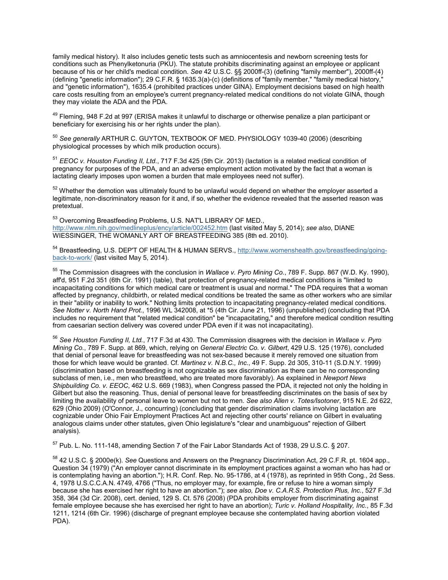family medical history). It also includes genetic tests such as amniocentesis and newborn screening tests for conditions such as Phenylketonuria (PKU). The statute prohibits discriminating against an employee or applicant because of his or her child's medical condition. *See* 42 U.S.C. §§ 2000ff-(3) (defining "family member"), 2000ff-(4) (defining "genetic information"); 29 C.F.R. § 1635.3(a)-(c) (definitions of "family member," "family medical history," and "genetic information"), 1635.4 (prohibited practices under GINA). Employment decisions based on high health care costs resulting from an employee's current pregnancy-related medical conditions do not violate GINA, though they may violate the ADA and the PDA.

<span id="page-30-0"></span><sup>49</sup> Fleming, 948 F.2d at 997 (ERISA makes it unlawful to discharge or otherwise penalize a plan participant or beneficiary for exercising his or her rights under the plan).

<span id="page-30-1"></span><sup>50</sup> *See generally* ARTHUR C. GUYTON, TEXTBOOK OF MED. PHYSIOLOGY 1039-40 (2006) (describing physiological processes by which milk production occurs).

<sup>51</sup> *EEOC v. Houston Funding II, Ltd.*, 717 F.3d 425 (5th Cir. 2013) (lactation is a related medical condition of pregnancy for purposes of the PDA, and an adverse employment action motivated by the fact that a woman is lactating clearly imposes upon women a burden that male employees need not suffer).

<sup>52</sup> Whether the demotion was ultimately found to be unlawful would depend on whether the employer asserted a legitimate, non-discriminatory reason for it and, if so, whether the evidence revealed that the asserted reason was pretextual.

<sup>53</sup> Overcoming Breastfeeding Problems, U.S. NAT'L LIBRARY OF MED., <http://www.nlm.nih.gov/medlineplus/ency/article/002452.htm> (last visited May 5, 2014); *see also*, DIANE WIESSINGER, THE WOMANLY ART OF BREASTFEEDING 385 (8th ed. 2010).

54 Breastfeeding, U.S. DEP'T OF HEALTH & HUMAN SERVS., [http://www.womenshealth.gov/breastfeeding/going](http://www.womenshealth.gov/breastfeeding/going-back-to-work/)back-to-work/ [\(last visited May 5, 2014\).](http://www.womenshealth.gov/breastfeeding/going-back-to-work/)

<sup>55</sup> The Commission disagrees with the conclusion in *Wallace v. Pyro Mining Co.*, 789 F. Supp. 867 (W.D. Ky. 1990), aff'd, 951 F.2d 351 (6th Cir. 1991) (table), that protection of pregnancy-related medical conditions is "limited to incapacitating conditions for which medical care or treatment is usual and normal." The PDA requires that a woman affected by pregnancy, childbirth, or related medical conditions be treated the same as other workers who are similar in their "ability or inability to work." Nothing limits protection to incapacitating pregnancy-related medical conditions. *See Notter v. North Hand Prot.*, 1996 WL 342008, at \*5 (4th Cir. June 21, 1996) (unpublished) (concluding that PDA includes no requirement that "related medical condition" be "incapacitating," and therefore medical condition resulting from caesarian section delivery was covered under PDA even if it was not incapacitating).

<sup>56</sup> *See Houston Funding II, Ltd.*, 717 F.3d at 430. The Commission disagrees with the decision in *Wallace v. Pyro Mining Co.*, 789 F. Supp. at 869, which, relying on *General Electric Co. v. Gilbert*, 429 U.S. 125 (1976), concluded that denial of personal leave for breastfeeding was not sex-based because it merely removed one situation from those for which leave would be granted. Cf. *Martinez v. N.B.C., Inc.*, 49 F. Supp. 2d 305, 310-11 (S.D.N.Y. 1999) (discrimination based on breastfeeding is not cognizable as sex discrimination as there can be no corresponding subclass of men, i.e., men who breastfeed, who are treated more favorably). As explained in *Newport News Shipbuilding Co. v. EEOC*, 462 U.S. 669 (1983), when Congress passed the PDA, it rejected not only the holding in Gilbert but also the reasoning. Thus, denial of personal leave for breastfeeding discriminates on the basis of sex by limiting the availability of personal leave to women but not to men. *See also Allen v. Totes/Isotoner*, 915 N.E. 2d 622, 629 (Ohio 2009) (O'Connor, J., concurring) (concluding that gender discrimination claims involving lactation are cognizable under Ohio Fair Employment Practices Act and rejecting other courts' reliance on Gilbert in evaluating analogous claims under other statutes, given Ohio legislature's "clear and unambiguous" rejection of Gilbert analysis).

<sup>57</sup> Pub. L. No. 111-148, amending Section 7 of the Fair Labor Standards Act of 1938, 29 U.S.C. § 207.

<sup>58</sup> 42 U.S.C. § 2000e(k). *See* Questions and Answers on the Pregnancy Discrimination Act, 29 C.F.R. pt. 1604 app., Question 34 (1979) ("An employer cannot discriminate in its employment practices against a woman who has had or is contemplating having an abortion."); H.R. Conf. Rep. No. 95-1786, at 4 (1978), as reprinted in 95th Cong., 2d Sess. 4, 1978 U.S.C.C.A.N. 4749, 4766 ("Thus, no employer may, for example, fire or refuse to hire a woman simply because she has exercised her right to have an abortion."); *see also, Doe v. C.A.R.S. Protection Plus, Inc.*, 527 F.3d 358, 364 (3d Cir. 2008), cert. denied, 129 S. Ct. 576 (2008) (PDA prohibits employer from discriminating against female employee because she has exercised her right to have an abortion); *Turic v. Holland Hospitality, Inc.*, 85 F.3d 1211, 1214 (6th Cir. 1996) (discharge of pregnant employee because she contemplated having abortion violated PDA).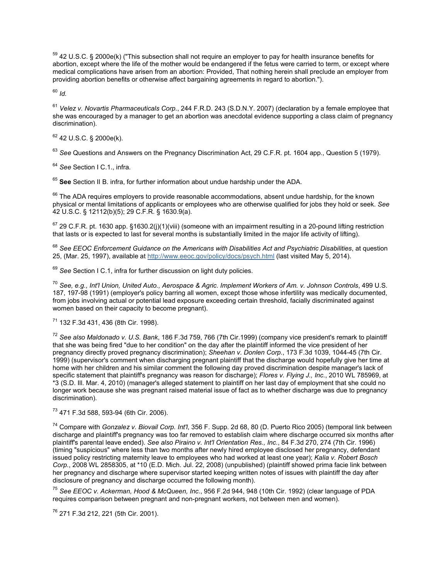<sup>59</sup> 42 U.S.C. § 2000e(k) ("This subsection shall not require an employer to pay for health insurance benefits for abortion, except where the life of the mother would be endangered if the fetus were carried to term, or except where medical complications have arisen from an abortion: Provided, That nothing herein shall preclude an employer from providing abortion benefits or otherwise affect bargaining agreements in regard to abortion.").

<sup>60</sup> *Id.*

<sup>61</sup> *Velez v. Novartis Pharmaceuticals Corp.*, 244 F.R.D. 243 (S.D.N.Y. 2007) (declaration by a female employee that she was encouraged by a manager to get an abortion was anecdotal evidence supporting a class claim of pregnancy discrimination).

<sup>62</sup> 42 U.S.C. § 2000e(k).

<sup>63</sup> *See* Questions and Answers on the Pregnancy Discrimination Act, 29 C.F.R. pt. 1604 app., Question 5 (1979).

<sup>64</sup> *See* Section I C.1., infra.

<sup>65</sup> **See** Section II B. infra, for further information about undue hardship under the ADA.

 $66$  The ADA requires employers to provide reasonable accommodations, absent undue hardship, for the known physical or mental limitations of applicants or employees who are otherwise qualified for jobs they hold or seek. *See* 42 U.S.C. § 12112(b)(5); 29 C.F.R. § 1630.9(a).

 $67$  29 C.F.R. pt. 1630 app. §1630.2(j)(1)(viii) (someone with an impairment resulting in a 20-pound lifting restriction that lasts or is expected to last for several months is substantially limited in the major life activity of lifting).

<sup>68</sup> *See EEOC Enforcement Guidance on the Americans with Disabilities Act and Psychiatric Disabilities*, at question 25, (Mar. 25, 1997), available at <http://www.eeoc.gov/policy/docs/psych.html> (last visited May 5, 2014).

<sup>69</sup> *See* Section I C.1, infra for further discussion on light duty policies.

<sup>70</sup> *See, e.g., Int'l Union, United Auto., Aerospace & Agric. Implement Workers of Am. v. Johnson Controls*, 499 U.S. 187, 197-98 (1991) (employer's policy barring all women, except those whose infertility was medically documented, from jobs involving actual or potential lead exposure exceeding certain threshold, facially discriminated against women based on their capacity to become pregnant).

<sup>71</sup> 132 F.3d 431, 436 (8th Cir. 1998).

<sup>72</sup> *See also Maldonado v. U.S. Bank*, 186 F.3d 759, 766 (7th Cir.1999) (company vice president's remark to plaintiff that she was being fired "due to her condition" on the day after the plaintiff informed the vice president of her pregnancy directly proved pregnancy discrimination); *Sheehan v. Donlen Corp.*, 173 F.3d 1039, 1044-45 (7th Cir. 1999) (supervisor's comment when discharging pregnant plaintiff that the discharge would hopefully give her time at home with her children and his similar comment the following day proved discrimination despite manager's lack of specific statement that plaintiff's pregnancy was reason for discharge); *Flores v. Flying J., Inc.*, 2010 WL 785969, at \*3 (S.D. Ill. Mar. 4, 2010) (manager's alleged statement to plaintiff on her last day of employment that she could no longer work because she was pregnant raised material issue of fact as to whether discharge was due to pregnancy discrimination).

<sup>73</sup> 471 F.3d 588, 593-94 (6th Cir. 2006).

<sup>74</sup> Compare with *Gonzalez v. Biovail Corp. Int'l*, 356 F. Supp. 2d 68, 80 (D. Puerto Rico 2005) (temporal link between discharge and plaintiff's pregnancy was too far removed to establish claim where discharge occurred six months after plaintiff's parental leave ended). *See also Piraino v. Int'l Orientation Res., Inc.*, 84 F.3d 270, 274 (7th Cir. 1996) (timing "suspicious" where less than two months after newly hired employee disclosed her pregnancy, defendant issued policy restricting maternity leave to employees who had worked at least one year); *Kalia v. Robert Bosch Corp.*, 2008 WL 2858305, at \*10 (E.D. Mich. Jul. 22, 2008) (unpublished) (plaintiff showed prima facie link between her pregnancy and discharge where supervisor started keeping written notes of issues with plaintiff the day after disclosure of pregnancy and discharge occurred the following month).

<sup>75</sup> *See EEOC v. Ackerman, Hood & McQueen, Inc.*, 956 F.2d 944, 948 (10th Cir. 1992) (clear language of PDA requires comparison between pregnant and non-pregnant workers, not between men and women).

<sup>76</sup> 271 F.3d 212, 221 (5th Cir. 2001).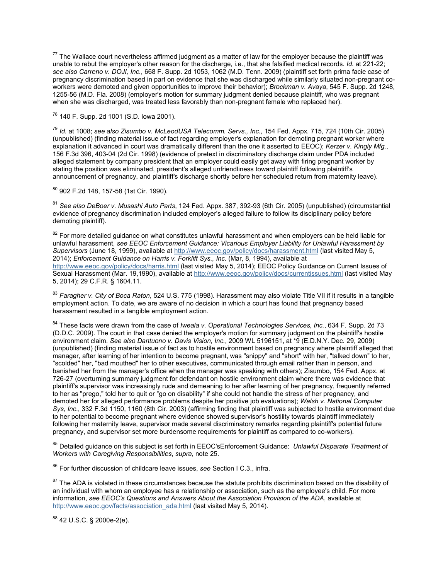$77$  The Wallace court nevertheless affirmed judgment as a matter of law for the employer because the plaintiff was unable to rebut the employer's other reason for the discharge, i.e., that she falsified medical records. *Id.* at 221-22; *see also Carreno v. DOJI, Inc.*, 668 F. Supp. 2d 1053, 1062 (M.D. Tenn. 2009) (plaintiff set forth prima facie case of pregnancy discrimination based in part on evidence that she was discharged while similarly situated non-pregnant coworkers were demoted and given opportunities to improve their behavior); *Brockman v. Avaya*, 545 F. Supp. 2d 1248, 1255-56 (M.D. Fla. 2008) (employer's motion for summary judgment denied because plaintiff, who was pregnant when she was discharged, was treated less favorably than non-pregnant female who replaced her).

### <sup>78</sup> 140 F. Supp. 2d 1001 (S.D. Iowa 2001).

<sup>79</sup> *Id.* at 1008; *see also Zisumbo v. McLeodUSA Telecomm. Servs., Inc.*, 154 Fed. Appx. 715, 724 (10th Cir. 2005) (unpublished) (finding material issue of fact regarding employer's explanation for demoting pregnant worker where explanation it advanced in court was dramatically different than the one it asserted to EEOC); *Kerzer v. Kingly Mfg.*, 156 F.3d 396, 403-04 (2d Cir. 1998) (evidence of pretext in discriminatory discharge claim under PDA included alleged statement by company president that an employer could easily get away with firing pregnant worker by stating the position was eliminated, president's alleged unfriendliness toward plaintiff following plaintiff's announcement of pregnancy, and plaintiff's discharge shortly before her scheduled return from maternity leave).

<sup>80</sup> 902 F.2d 148, 157-58 (1st Cir. 1990).

<sup>81</sup> *See also DeBoer v. Musashi Auto Parts*, 124 Fed. Appx. 387, 392-93 (6th Cir. 2005) (unpublished) (circumstantial evidence of pregnancy discrimination included employer's alleged failure to follow its disciplinary policy before demoting plaintiff).

<sup>82</sup> For more detailed guidance on what constitutes unlawful harassment and when employers can be held liable for unlawful harassment, *see EEOC Enforcement Guidance: Vicarious Employer Liability for Unlawful Harassment by Supervisors* (June 18, 1999), available at <http://www.eeoc.gov/policy/docs/harassment.html> (last visited May 5, 2014); *Enforcement Guidance on Harris v. Forklift Sys., Inc.* (Mar, 8, 1994), available at <http://www.eeoc.gov/policy/docs/harris.html> (last visited May 5, 2014); EEOC Policy Guidance on Current Issues of Sexual Harassment (Mar. 19,1990), available at <http://www.eeoc.gov/policy/docs/currentissues.html> (last visited May 5, 2014); 29 C.F.R. § 1604.11.

<sup>83</sup> *Faragher v. City of Boca Raton*, 524 U.S. 775 (1998). Harassment may also violate Title VII if it results in a tangible employment action. To date, we are aware of no decision in which a court has found that pregnancy based harassment resulted in a tangible employment action.

<sup>84</sup> These facts were drawn from the case of *Iweala v. Operational Technologies Services, Inc.*, 634 F. Supp. 2d 73 (D.D.C. 2009). The court in that case denied the employer's motion for summary judgment on the plaintiff's hostile environment claim. *See also Dantuono v. Davis Vision, Inc.*, 2009 WL 5196151, at \*9 (E.D.N.Y. Dec. 29, 2009) (unpublished) (finding material issue of fact as to hostile environment based on pregnancy where plaintiff alleged that manager, after learning of her intention to become pregnant, was "snippy" and "short" with her, "talked down" to her, "scolded" her, "bad mouthed" her to other executives, communicated through email rather than in person, and banished her from the manager's office when the manager was speaking with others); Zisumbo, 154 Fed. Appx. at 726-27 (overturning summary judgment for defendant on hostile environment claim where there was evidence that plaintiff's supervisor was increasingly rude and demeaning to her after learning of her pregnancy, frequently referred to her as "prego," told her to quit or "go on disability" if she could not handle the stress of her pregnancy, and demoted her for alleged performance problems despite her positive job evaluations); *Walsh v. National Computer Sys, Inc.*, 332 F.3d 1150, 1160 (8th Cir. 2003) (affirming finding that plaintiff was subjected to hostile environment due to her potential to become pregnant where evidence showed supervisor's hostility towards plaintiff immediately following her maternity leave, supervisor made several discriminatory remarks regarding plaintiff's potential future pregnancy, and supervisor set more burdensome requirements for plaintiff as compared to co-workers).

<sup>85</sup> Detailed guidance on this subject is set forth in EEOC'sEnforcement Guidance: *Unlawful Disparate Treatment of Workers with Caregiving Responsibilities*, *supra,* note 25.

<sup>86</sup> For further discussion of childcare leave issues, *see* Section I C.3., infra.

<sup>87</sup> The ADA is violated in these circumstances because the statute prohibits discrimination based on the disability of an individual with whom an employee has a relationship or association, such as the employee's child. For more information, *see EEOC's Questions and Answers About the Association Provision of the ADA*, available at [http://www.eeoc.gov/facts/association\\_ada.html](http://www.eeoc.gov/facts/association_ada.html) (last visited May 5, 2014).

<sup>88</sup> 42 U.S.C. § 2000e-2(e).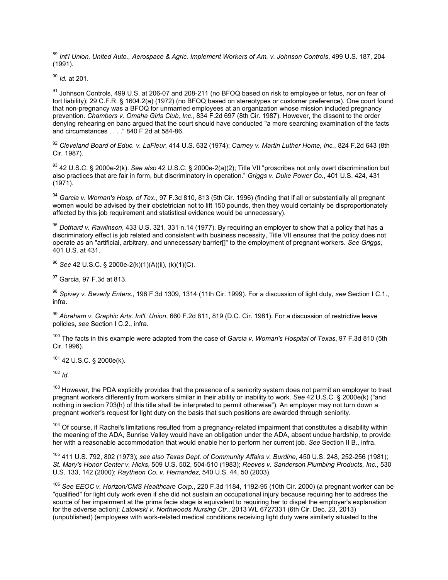<sup>89</sup> *Int'l Union, United Auto., Aerospace & Agric. Implement Workers of Am. v. Johnson Controls*, 499 U.S. 187, 204 (1991).

<sup>90</sup> *Id.* at 201.

91 Johnson Controls, 499 U.S. at 206-07 and 208-211 (no BFOQ based on risk to employee or fetus, nor on fear of tort liability); 29 C.F.R. § 1604.2(a) (1972) (no BFOQ based on stereotypes or customer preference). One court found that non-pregnancy was a BFOQ for unmarried employees at an organization whose mission included pregnancy prevention. *Chambers v. Omaha Girls Club, Inc.*, 834 F.2d 697 (8th Cir. 1987). However, the dissent to the order denying rehearing en banc argued that the court should have conducted "a more searching examination of the facts and circumstances . . . ." 840 F.2d at 584-86.

<sup>92</sup> *Cleveland Board of Educ. v. LaFleur*, 414 U.S. 632 (1974); *Carney v. Martin Luther Home, Inc.*, 824 F.2d 643 (8th Cir. 1987).

<sup>93</sup> 42 U.S.C. § 2000e-2(k). *See also* 42 U.S.C. § 2000e-2(a)(2); Title VII "proscribes not only overt discrimination but also practices that are fair in form, but discriminatory in operation." *Griggs v. Duke Power Co.*, 401 U.S. 424, 431 (1971).

<sup>94</sup> *Garcia v. Woman's Hosp. of Tex.*, 97 F.3d 810, 813 (5th Cir. 1996) (finding that if all or substantially all pregnant women would be advised by their obstetrician not to lift 150 pounds, then they would certainly be disproportionately affected by this job requirement and statistical evidence would be unnecessary).

<sup>95</sup> *Dothard v. Rawlinson*, 433 U.S. 321, 331 n.14 (1977). By requiring an employer to show that a policy that has a discriminatory effect is job related and consistent with business necessity, Title VII ensures that the policy does not operate as an "artificial, arbitrary, and unnecessary barrier[]" to the employment of pregnant workers. *See Griggs*, 401 U.S. at 431.

<sup>96</sup> *See* 42 U.S.C. § 2000e-2(k)(1)(A)(ii), (k)(1)(C).

<sup>97</sup> Garcia, 97 F.3d at 813.

<sup>98</sup> *Spivey v. Beverly Enters.*, 196 F.3d 1309, 1314 (11th Cir. 1999). For a discussion of light duty, *see* Section I C.1., infra.

<sup>99</sup> *Abraham v. Graphic Arts. Int'l. Union*, 660 F.2d 811, 819 (D.C. Cir. 1981). For a discussion of restrictive leave policies, *see* Section I C.2., infra.

<sup>100</sup> The facts in this example were adapted from the case of *Garcia v. Woman's Hospital of Texas*, 97 F.3d 810 (5th Cir. 1996).

 $101$  42 U.S.C. § 2000e(k).

 $102$  *Id.* 

<sup>103</sup> However, the PDA explicitly provides that the presence of a seniority system does not permit an employer to treat pregnant workers differently from workers similar in their ability or inability to work. *See* 42 U.S.C. § 2000e(k) ("and nothing in section 703(h) of this title shall be interpreted to permit otherwise"). An employer may not turn down a pregnant worker's request for light duty on the basis that such positions are awarded through seniority.

<sup>104</sup> Of course, if Rachel's limitations resulted from a pregnancy-related impairment that constitutes a disability within the meaning of the ADA, Sunrise Valley would have an obligation under the ADA, absent undue hardship, to provide her with a reasonable accommodation that would enable her to perform her current job. *See* Section II B., infra.

<sup>105</sup> 411 U.S. 792, 802 (1973); *see also Texas Dept. of Community Affairs v. Burdine*, 450 U.S. 248, 252-256 (1981); *St. Mary's Honor Center v. Hicks*, 509 U.S. 502, 504-510 (1983); *Reeves v. Sanderson Plumbing Products, Inc.*, 530 U.S. 133, 142 (2000); *Raytheon Co. v. Hernandez*, 540 U.S. 44, 50 (2003).

<sup>106</sup> *See EEOC v. Horizon/CMS Healthcare Corp.*, 220 F.3d 1184, 1192-95 (10th Cir. 2000) (a pregnant worker can be "qualified" for light duty work even if she did not sustain an occupational injury because requiring her to address the source of her impairment at the prima facie stage is equivalent to requiring her to dispel the employer's explanation for the adverse action); *Latowski v. Northwoods Nursing Ctr.*, 2013 WL 6727331 (6th Cir. Dec. 23, 2013) (unpublished) (employees with work-related medical conditions receiving light duty were similarly situated to the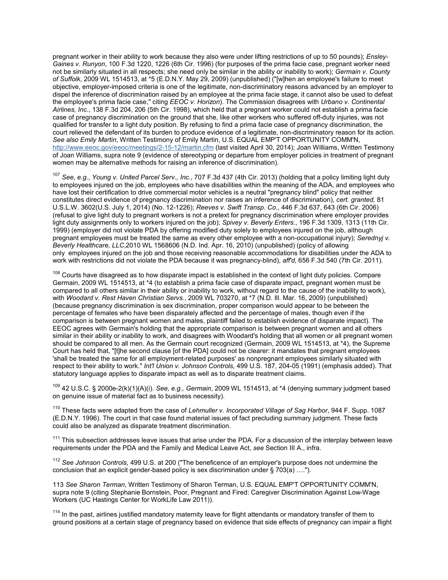pregnant worker in their ability to work because they also were under lifting restrictions of up to 50 pounds); *Ensley-Gaines v. Runyon*, 100 F.3d 1220, 1226 (6th Cir. 1996) (for purposes of the prima facie case, pregnant worker need not be similarly situated in all respects; she need only be similar in the ability or inability to work); *Germain v. County of Suffolk*, 2009 WL 1514513, at \*5 (E.D.N.Y. May 29, 2009) (unpublished) ("[w]hen an employee's failure to meet objective, employer-imposed criteria is one of the legitimate, non-discriminatory reasons advanced by an employer to dispel the inference of discrimination raised by an employee at the prima facie stage, it cannot also be used to defeat the employee's prima facie case," citing *EEOC v. Horizon*). The Commission disagrees with *Urbano v. Continental Airlines, Inc.*, 138 F.3d 204, 206 (5th Cir. 1998), which held that a pregnant worker could not establish a prima facie case of pregnancy discrimination on the ground that she, like other workers who suffered off-duty injuries, was not qualified for transfer to a light duty position. By refusing to find a prima facie case of pregnancy discrimination, the court relieved the defendant of its burden to produce evidence of a legitimate, non-discriminatory reason for its action. *See also Emily Martin*, Written Testimony of Emily Martin, U.S. EQUAL EMP'T OPPORTUNITY COMM'N, <http://www.eeoc.gov/eeoc/meetings/2-15-12/martin.cfm> (last visited April 30, 2014); Joan Williams, Written Testimony of Joan Williams, supra note 9 (evidence of stereotyping or departure from employer policies in treatment of pregnant women may be alternative methods for raising an inference of discrimination).

<sup>107</sup> *See, e.g.*, *Young v. United Parcel Serv., Inc.*, 707 F.3d 437 (4th Cir. 2013) (holding that a policy limiting light duty to employees injured on the job, employees who have disabilities within the meaning of the ADA, and employees who have lost their certification to drive commercial motor vehicles is a neutral "pregnancy blind" policy that neither constitutes direct evidence of pregnancy discrimination nor raises an inference of discrimination), *cert. granted,* 81 U.S.L.W. 3602(U.S. July 1, 2014) (No. 12-1226); *Reeves v. Swift Transp. Co.*, 446 F.3d 637, 643 (6th Cir. 2006) (refusal to give light duty to pregnant workers is not a pretext for pregnancy discrimination where employer provides light duty assignments only to workers injured on the job); *Spivey v. Beverly Enters*., 196 F.3d 1309, 1313 (11th Cir. 1999) (employer did not violate PDA by offering modified duty solely to employees injured on the job, although pregnant employees must be treated the same as every other employee with a non-occupational injury); *Serednyj v. Beverly Healthcare, LLC*,2010 WL 1568606 (N.D. Ind. Apr. 16, 2010) (unpublished) (policy of allowing only employees injured on the job and those receiving reasonable accommodations for disabilities under the ADA to work with restrictions did not violate the PDA because it was pregnancy-blind), *aff'd,* 656 F.3d 540 (7th Cir. 2011).

 $108$  Courts have disagreed as to how disparate impact is established in the context of light duty policies. Compare Germain, 2009 WL 1514513, at \*4 (to establish a prima facie case of disparate impact, pregnant women must be compared to all others similar in their ability or inability to work, without regard to the cause of the inability to work), with *Woodard v. Rest Haven Christian Servs.*, 2009 WL 703270, at \*7 (N.D. Ill. Mar. 16, 2009) (unpublished) (because pregnancy discrimination is sex discrimination, proper comparison would appear to be between the percentage of females who have been disparately affected and the percentage of males, though even if the comparison is between pregnant women and males, plaintiff failed to establish evidence of disparate impact). The EEOC agrees with Germain's holding that the appropriate comparison is between pregnant women and all others similar in their ability or inability to work, and disagrees with Woodard's holding that all women or all pregnant women should be compared to all men. As the Germain court recognized (Germain, 2009 WL 1514513, at \*4), the Supreme Court has held that, "[t]he second clause [of the PDA] could not be clearer: it mandates that pregnant employees 'shall be treated the same for all employment-related purposes' as nonpregnant employees similarly situated with respect to their ability to work." *Int'l Union v. Johnson Controls*, 499 U.S. 187, 204-05 (1991) (emphasis added). That statutory language applies to disparate impact as well as to disparate treatment claims.

<sup>109</sup> 42 U.S.C. § 2000e-2(k)(1)(A)(i). *See, e.g., Germain*, 2009 WL 1514513, at \*4 (denying summary judgment based on genuine issue of material fact as to business necessity).

<sup>110</sup> These facts were adapted from the case of *Lehmuller v. Incorporated Village of Sag Harbor*, 944 F. Supp. 1087 (E.D.N.Y. 1996). The court in that case found material issues of fact precluding summary judgment. These facts could also be analyzed as disparate treatment discrimination.

<sup>111</sup> This subsection addresses leave issues that arise under the PDA. For a discussion of the interplay between leave requirements under the PDA and the Family and Medical Leave Act, *see* Section III A., infra.

<sup>112</sup> *See Johnson Controls*, 499 U.S. at 200 ("The beneficence of an employer's purpose does not undermine the conclusion that an explicit gender-based policy is sex discrimination under § 703(a) ….").

113 *See Sharon Terman*, Written Testimony of Sharon Terman, U.S. EQUAL EMP'T OPPORTUNITY COMM'N, supra note 9 (citing Stephanie Bornstein, Poor, Pregnant and Fired: Caregiver Discrimination Against Low-Wage Workers (UC Hastings Center for WorkLife Law 2011)).

<sup>114</sup> In the past, airlines justified mandatory maternity leave for flight attendants or mandatory transfer of them to ground positions at a certain stage of pregnancy based on evidence that side effects of pregnancy can impair a flight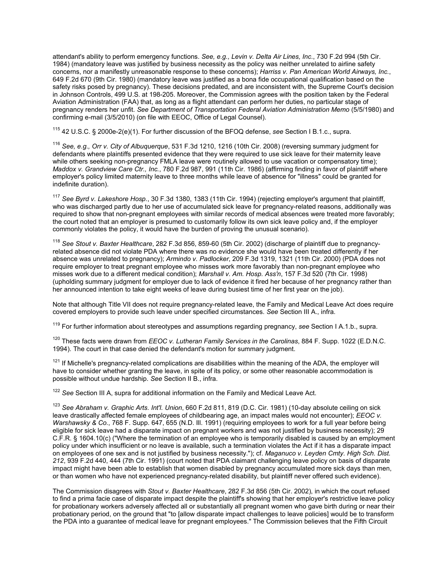attendant's ability to perform emergency functions. *See, e.g., Levin v. Delta Air Lines, Inc.*, 730 F.2d 994 (5th Cir. 1984) (mandatory leave was justified by business necessity as the policy was neither unrelated to airline safety concerns, nor a manifestly unreasonable response to these concerns); *Harriss v. Pan American World Airways, Inc.*, 649 F.2d 670 (9th Cir. 1980) (mandatory leave was justified as a bona fide occupational qualification based on the safety risks posed by pregnancy). These decisions predated, and are inconsistent with, the Supreme Court's decision in Johnson Controls, 499 U.S. at 198-205. Moreover, the Commission agrees with the position taken by the Federal Aviation Administration (FAA) that, as long as a flight attendant can perform her duties, no particular stage of pregnancy renders her unfit. *See Department of Transportation Federal Aviation Administration Memo* (5/5/1980) and confirming e-mail (3/5/2010) (on file with EEOC, Office of Legal Counsel).

<sup>115</sup> 42 U.S.C. § 2000e-2(e)(1). For further discussion of the BFOQ defense, *see* Section I B.1.c., supra.

<sup>116</sup> *See, e.g., Orr v. City of Albuquerque*, 531 F.3d 1210, 1216 (10th Cir. 2008) (reversing summary judgment for defendants where plaintiffs presented evidence that they were required to use sick leave for their maternity leave while others seeking non-pregnancy FMLA leave were routinely allowed to use vacation or compensatory time); *Maddox v. Grandview Care Ctr., Inc.*, 780 F.2d 987, 991 (11th Cir. 1986) (affirming finding in favor of plaintiff where employer's policy limited maternity leave to three months while leave of absence for "illness" could be granted for indefinite duration).

<sup>117</sup> *See Byrd v. Lakeshore Hosp.*, 30 F.3d 1380, 1383 (11th Cir. 1994) (rejecting employer's argument that plaintiff, who was discharged partly due to her use of accumulated sick leave for pregnancy-related reasons, additionally was required to show that non-pregnant employees with similar records of medical absences were treated more favorably; the court noted that an employer is presumed to customarily follow its own sick leave policy and, if the employer commonly violates the policy, it would have the burden of proving the unusual scenario).

<sup>118</sup> *See Stout v. Baxter Healthcare*, 282 F.3d 856, 859-60 (5th Cir. 2002) (discharge of plaintiff due to pregnancyrelated absence did not violate PDA where there was no evidence she would have been treated differently if her absence was unrelated to pregnancy); *Armindo v. Padlocker*, 209 F.3d 1319, 1321 (11th Cir. 2000) (PDA does not require employer to treat pregnant employee who misses work more favorably than non-pregnant employee who misses work due to a different medical condition); *Marshall v. Am. Hosp. Ass'n*, 157 F.3d 520 (7th Cir. 1998) (upholding summary judgment for employer due to lack of evidence it fired her because of her pregnancy rather than her announced intention to take eight weeks of leave during busiest time of her first year on the job).

Note that although Title VII does not require pregnancy-related leave, the Family and Medical Leave Act does require covered employers to provide such leave under specified circumstances. *See* Section III A., infra.

<sup>119</sup> For further information about stereotypes and assumptions regarding pregnancy, *see* Section I A.1.b., supra.

<sup>120</sup> These facts were drawn from *EEOC v. Lutheran Family Services in the Carolinas*, 884 F. Supp. 1022 (E.D.N.C. 1994). The court in that case denied the defendant's motion for summary judgment.

 $121$  If Michelle's pregnancy-related complications are disabilities within the meaning of the ADA, the employer will have to consider whether granting the leave, in spite of its policy, or some other reasonable accommodation is possible without undue hardship. *See* Section II B., infra.

<sup>122</sup> *See* Section III A, supra for additional information on the Family and Medical Leave Act.

<sup>123</sup> *See Abraham v. Graphic Arts. Int'l. Union*, 660 F.2d 811, 819 (D.C. Cir. 1981) (10-day absolute ceiling on sick leave drastically affected female employees of childbearing age, an impact males would not encounter); *EEOC v. Warshawsky & Co.*, 768 F. Supp. 647, 655 (N.D. Ill. 1991) (requiring employees to work for a full year before being eligible for sick leave had a disparate impact on pregnant workers and was not justified by business necessity); 29 C.F.R. § 1604.10(c) ("Where the termination of an employee who is temporarily disabled is caused by an employment policy under which insufficient or no leave is available, such a termination violates the Act if it has a disparate impact on employees of one sex and is not justified by business necessity."); cf. *Maganuco v. Leyden Cmty. High Sch. Dist. 212*, 939 F.2d 440, 444 (7th Cir. 1991) (court noted that PDA claimant challenging leave policy on basis of disparate impact might have been able to establish that women disabled by pregnancy accumulated more sick days than men, or than women who have not experienced pregnancy-related disability, but plaintiff never offered such evidence).

The Commission disagrees with *Stout v. Baxter Healthcare*, 282 F.3d 856 (5th Cir. 2002), in which the court refused to find a prima facie case of disparate impact despite the plaintiff's showing that her employer's restrictive leave policy for probationary workers adversely affected all or substantially all pregnant women who gave birth during or near their probationary period, on the ground that "to [allow disparate impact challenges to leave policies] would be to transform the PDA into a guarantee of medical leave for pregnant employees." The Commission believes that the Fifth Circuit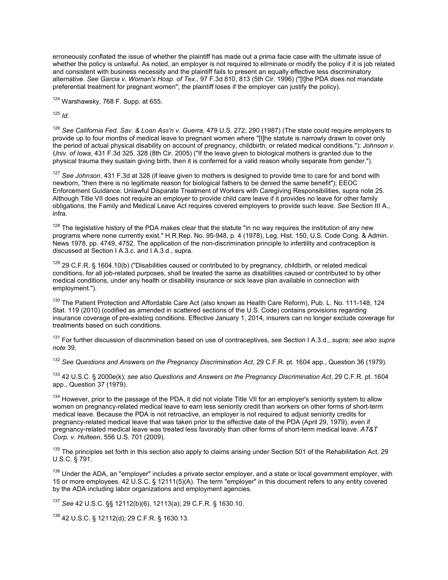erroneously conflated the issue of whether the plaintiff has made out a prima facie case with the ultimate issue of whether the policy is unlawful. As noted, an employer is not required to eliminate or modify the policy if it is job related and consistent with business necessity and the plaintiff fails to present an equally effective less discriminatory alternative. *See Garcia v. Woman's Hosp. of Tex.*, 97 F.3d 810, 813 (5th Cir. 1996) ("[t]he PDA does not mandate preferential treatment for pregnant women"; the plaintiff loses if the employer can justify the policy).

124 Warshawsky, 768 F. Supp. at 655.

<sup>125</sup> *Id.*

<sup>126</sup> *See California Fed. Sav. & Loan Ass'n v. Guerra*, 479 U.S. 272, 290 (1987) (The state could require employers to provide up to four months of medical leave to pregnant women where "[t]he statute is narrowly drawn to cover only the period of actual physical disability on account of pregnancy, childbirth, or related medical conditions."); *Johnson v. Univ. of Iowa*, 431 F.3d 325, 328 (8th Cir. 2005) ("If the leave given to biological mothers is granted due to the physical trauma they sustain giving birth, then it is conferred for a valid reason wholly separate from gender.").

<sup>127</sup> *See Johnson*, 431 F.3d at 328 (if leave given to mothers is designed to provide time to care for and bond with newborn, "then there is no legitimate reason for biological fathers to be denied the same benefit"); EEOC Enforcement Guidance: Unlawful Disparate Treatment of Workers with Caregiving Responsibilities, supra note 25. Although Title VII does not require an employer to provide child care leave if it provides no leave for other family obligations, the Family and Medical Leave Act requires covered employers to provide such leave. *See* Section III A., infra.

 $128$  The legislative history of the PDA makes clear that the statute "in no way requires the institution of any new programs where none currently exist." H.R.Rep. No. 95-948, p. 4 (1978), Leg. Hist. 150, U.S. Code Cong. & Admin. News 1978, pp. 4749, 4752. The application of the non-discrimination principle to infertility and contraception is discussed at Section I A.3.c. and I A.3.d., supra.

<sup>129</sup> 29 C.F.R. § 1604.10(b) ("Disabilities caused or contributed to by pregnancy, childbirth, or related medical conditions, for all job-related purposes, shall be treated the same as disabilities caused or contributed to by other medical conditions, under any health or disability insurance or sick leave plan available in connection with employment.").

<sup>130</sup> The Patient Protection and Affordable Care Act (also known as Health Care Reform), Pub. L. No. 111-148, 124 Stat. 119 (2010) (codified as amended in scattered sections of the U.S. Code) contains provisions regarding insurance coverage of pre-existing conditions. Effective January 1, 2014, insurers can no longer exclude coverage for treatments based on such conditions.

<sup>131</sup> For further discussion of discrimination based on use of contraceptives, *see* Section I A.3.d., *supra; see also supra note* 39.

<sup>132</sup> *See Questions and Answers on the Pregnancy Discrimination Act*, 29 C.F.R. pt. 1604 app., Question 36 (1979).

<sup>133</sup> 42 U.S.C. § 2000e(k); *see also Questions and Answers on the Pregnancy Discrimination Act*, 29 C.F.R. pt. 1604 app., Question 37 (1979).

<sup>134</sup> However, prior to the passage of the PDA, it did not violate Title VII for an employer's seniority system to allow women on pregnancy-related medical leave to earn less seniority credit than workers on other forms of short-term medical leave. Because the PDA is not retroactive, an employer is not required to adjust seniority credits for pregnancy-related medical leave that was taken prior to the effective date of the PDA (April 29, 1979), even if pregnancy-related medical leave was treated less favorably than other forms of short-term medical leave. *AT&T Corp. v. Hulteen*, 556 U.S. 701 (2009).

<sup>135</sup> The principles set forth in this section also apply to claims arising under Section 501 of the Rehabilitation Act. 29 U.S.C. § 791.

<sup>136</sup> Under the ADA, an "employer" includes a private sector employer, and a state or local government employer, with 15 or more employees. 42 U.S.C. § 12111(5)(A). The term "employer" in this document refers to any entity covered by the ADA including labor organizations and employment agencies.

<sup>137</sup> *See* 42 U.S.C. §§ 12112(b)(6), 12113(a); 29 C.F.R. § 1630.10.

<sup>138</sup> 42 U.S.C. § 12112(d); 29 C.F.R. § 1630.13.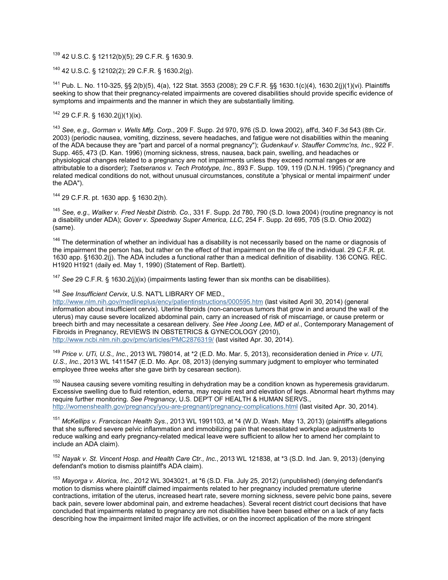<sup>139</sup> 42 U.S.C. § 12112(b)(5); 29 C.F.R. § 1630.9.

<sup>140</sup> 42 U.S.C. § 12102(2); 29 C.F.R. § 1630.2(g).

<sup>141</sup> Pub. L. No. 110-325, §§ 2(b)(5), 4(a), 122 Stat. 3553 (2008); 29 C.F.R. §§ 1630.1(c)(4), 1630.2(j)(1)(vi). Plaintiffs seeking to show that their pregnancy-related impairments are covered disabilities should provide specific evidence of symptoms and impairments and the manner in which they are substantially limiting.

 $142$  29 C.F.R. § 1630.2(j)(1)(ix).

<sup>143</sup> *See, e.g., Gorman v. Wells Mfg. Corp.*, 209 F. Supp. 2d 970, 976 (S.D. Iowa 2002), aff'd, 340 F.3d 543 (8th Cir. 2003) (periodic nausea, vomiting, dizziness, severe headaches, and fatigue were not disabilities within the meaning of the ADA because they are "part and parcel of a normal pregnancy"); *Gudenkauf v. Stauffer Commc'ns, Inc.*, 922 F. Supp. 465, 473 (D. Kan. 1996) (morning sickness, stress, nausea, back pain, swelling, and headaches or physiological changes related to a pregnancy are not impairments unless they exceed normal ranges or are attributable to a disorder); *Tsetseranos v. Tech Prototype, Inc.*, 893 F. Supp. 109, 119 (D.N.H. 1995) ("pregnancy and related medical conditions do not, without unusual circumstances, constitute a 'physical or mental impairment' under the ADA").

<sup>144</sup> 29 C.F.R. pt. 1630 app. § 1630.2(h).

<sup>145</sup> *See, e.g., Walker v. Fred Nesbit Distrib. Co.*, 331 F. Supp. 2d 780, 790 (S.D. Iowa 2004) (routine pregnancy is not a disability under ADA); *Gover v. Speedway Super America, LLC*, 254 F. Supp. 2d 695, 705 (S.D. Ohio 2002) (same).

 $146$  The determination of whether an individual has a disability is not necessarily based on the name or diagnosis of the impairment the person has, but rather on the effect of that impairment on the life of the individual. 29 C.F.R. pt. 1630 app. §1630.2(j). The ADA includes a functional rather than a medical definition of disability. 136 CONG. REC. H1920 H1921 (daily ed. May 1, 1990) (Statement of Rep. Bartlett).

<sup>147</sup> *See* 29 C.F.R. § 1630.2(j)(ix) (impairments lasting fewer than six months can be disabilities).

<sup>148</sup> *See Insufficient Cervix*, U.S. NAT'L LIBRARY OF MED.,

<http://www.nlm.nih.gov/medlineplus/ency/patientinstructions/000595.htm> (last visited April 30, 2014) (general information about insufficient cervix). Uterine fibroids (non-cancerous tumors that grow in and around the wall of the uterus) may cause severe localized abdominal pain, carry an increased of risk of miscarriage, or cause preterm or breech birth and may necessitate a cesarean delivery. *See Hee Joong Lee, MD et al.*, Contemporary Management of Fibroids in Pregnancy, REVIEWS IN OBSTETRICS & GYNECOLOGY (2010), <http://www.ncbi.nlm.nih.gov/pmc/articles/PMC2876319/> (last visited Apr. 30, 2014).

<sup>149</sup> *Price v. UTi, U.S., Inc.*, 2013 WL 798014, at \*2 (E.D. Mo. Mar. 5, 2013), reconsideration denied in *Price v. UTi, U.S., Inc.*, 2013 WL 1411547 (E.D. Mo. Apr. 08, 2013) (denying summary judgment to employer who terminated employee three weeks after she gave birth by cesarean section).

<sup>150</sup> Nausea causing severe vomiting resulting in dehydration may be a condition known as hyperemesis gravidarum. Excessive swelling due to fluid retention, edema, may require rest and elevation of legs. Abnormal heart rhythms may require further monitoring. *See Pregnancy*, U.S. DEP'T OF HEALTH & HUMAN SERVS., <http://womenshealth.gov/pregnancy/you-are-pregnant/pregnancy-complications.html> (last visited Apr. 30, 2014).

<sup>151</sup> *McKellips v. Franciscan Health Sys.*, 2013 WL 1991103, at \*4 (W.D. Wash. May 13, 2013) (plaintiff's allegations that she suffered severe pelvic inflammation and immobilizing pain that necessitated workplace adjustments to reduce walking and early pregnancy-related medical leave were sufficient to allow her to amend her complaint to include an ADA claim).

<sup>152</sup> *Nayak v. St. Vincent Hosp. and Health Care Ctr., Inc.*, 2013 WL 121838, at \*3 (S.D. Ind. Jan. 9, 2013) (denying defendant's motion to dismiss plaintiff's ADA claim).

<sup>153</sup> *Mayorga v. Alorica, Inc.*, 2012 WL 3043021, at \*6 (S.D. Fla. July 25, 2012) (unpublished) (denying defendant's motion to dismiss where plaintiff claimed impairments related to her pregnancy included premature uterine contractions, irritation of the uterus, increased heart rate, severe morning sickness, severe pelvic bone pains, severe back pain, severe lower abdominal pain, and extreme headaches). Several recent district court decisions that have concluded that impairments related to pregnancy are not disabilities have been based either on a lack of any facts describing how the impairment limited major life activities, or on the incorrect application of the more stringent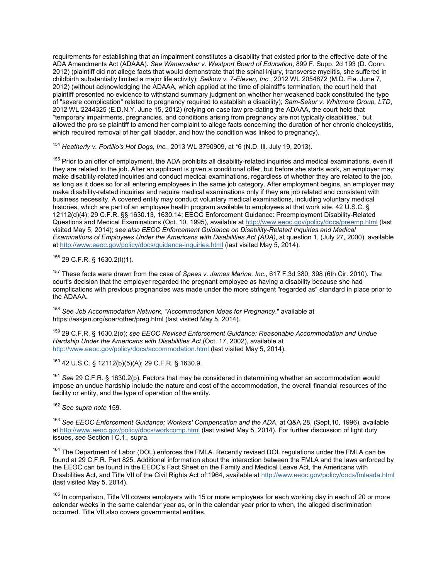requirements for establishing that an impairment constitutes a disability that existed prior to the effective date of the ADA Amendments Act (ADAAA). *See Wanamaker v. Westport Board of Education*, 899 F. Supp. 2d 193 (D. Conn. 2012) (plaintiff did not allege facts that would demonstrate that the spinal injury, transverse myelitis, she suffered in childbirth substantially limited a major life activity); *Selkow v. 7-Eleven, Inc.*, 2012 WL 2054872 (M.D. Fla. June 7, 2012) (without acknowledging the ADAAA, which applied at the time of plaintiff's termination, the court held that plaintiff presented no evidence to withstand summary judgment on whether her weakened back constituted the type of "severe complication" related to pregnancy required to establish a disability); *Sam-Sekur v. Whitmore Group, LTD*, 2012 WL 2244325 (E.D.N.Y. June 15, 2012) (relying on case law pre-dating the ADAAA, the court held that "temporary impairments, pregnancies, and conditions arising from pregnancy are not typically disabilities," but allowed the pro se plaintiff to amend her complaint to allege facts concerning the duration of her chronic cholecystitis, which required removal of her gall bladder, and how the condition was linked to pregnancy).

<sup>154</sup> *Heatherly v. Portillo's Hot Dogs, Inc.*, 2013 WL 3790909, at \*6 (N.D. Ill. July 19, 2013).

<sup>155</sup> Prior to an offer of employment, the ADA prohibits all disability-related inquiries and medical examinations, even if they are related to the job. After an applicant is given a conditional offer, but before she starts work, an employer may make disability-related inquiries and conduct medical examinations, regardless of whether they are related to the job, as long as it does so for all entering employees in the same job category. After employment begins, an employer may make disability-related inquiries and require medical examinations only if they are job related and consistent with business necessity. A covered entity may conduct voluntary medical examinations, including voluntary medical histories, which are part of an employee health program available to employees at that work site. 42 U.S.C. § 12112(d)(4); 29 C.F.R. §§ 1630.13, 1630.14; EEOC Enforcement Guidance: Preemployment Disability-Related Questions and Medical Examinations (Oct. 10, 1995), available at <http://www.eeoc.gov/policy/docs/preemp.html> (last visited May 5, 2014); s*ee also EEOC Enforcement Guidance on Disability-Related Inquiries and Medical Examinations of Employees Under the Americans with Disabilities Act (ADA)*, at question 1, (July 27, 2000), available at <http://www.eeoc.gov/policy/docs/guidance-inquiries.html> (last visited May 5, 2014).

<sup>156</sup> 29 C.F.R. § 1630.2(l)(1).

<sup>157</sup> These facts were drawn from the case of *Spees v. James Marine, Inc.*, 617 F.3d 380, 398 (6th Cir. 2010). The court's decision that the employer regarded the pregnant employee as having a disability because she had complications with previous pregnancies was made under the more stringent "regarded as" standard in place prior to the ADAAA.

<sup>158</sup> *See Job Accommodation Network, "Accommodation Ideas for Pregnancy*," available at https://askjan.org/soar/other/preg.html (last visited May 5, 2014).

<sup>159</sup> 29 C.F.R. § 1630.2(o); *see EEOC Revised Enforcement Guidance: Reasonable Accommodation and Undue Hardship Under the Americans with Disabilities Act* (Oct. 17, 2002), available at <http://www.eeoc.gov/policy/docs/accommodation.html> (last visited May 5, 2014).

<sup>160</sup> 42 U.S.C. § 12112(b)(5)(A); 29 C.F.R. § 1630.9.

<sup>161</sup> *See* 29 C.F.R. § 1630.2(p). Factors that may be considered in determining whether an accommodation would impose an undue hardship include the nature and cost of the accommodation, the overall financial resources of the facility or entity, and the type of operation of the entity.

<sup>162</sup> *See supra note* 159.

<sup>163</sup> *See EEOC Enforcement Guidance: Workers' Compensation and the ADA*, at Q&A 28, (Sept.10, 1996), available at <http://www.eeoc.gov/policy/docs/workcomp.html> (last visited May 5, 2014). For further discussion of light duty issues, *see* Section I C.1., supra.

<sup>164</sup> The Department of Labor (DOL) enforces the FMLA. Recently revised DOL regulations under the FMLA can be found at 29 C.F.R. Part 825. Additional information about the interaction between the FMLA and the laws enforced by the EEOC can be found in the EEOC's Fact Sheet on the Family and Medical Leave Act, the Americans with Disabilities Act, and Title VII of the Civil Rights Act of 1964, available at <http://www.eeoc.gov/policy/docs/fmlaada.html> (last visited May 5, 2014).

<sup>165</sup> In comparison. Title VII covers employers with 15 or more employees for each working day in each of 20 or more calendar weeks in the same calendar year as, or in the calendar year prior to when, the alleged discrimination occurred. Title VII also covers governmental entities.